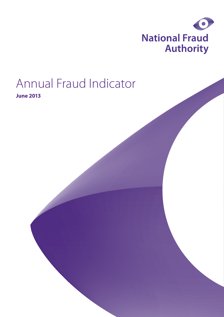

# Annual Fraud Indicator

**June 2013**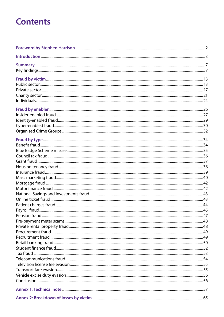## **Contents**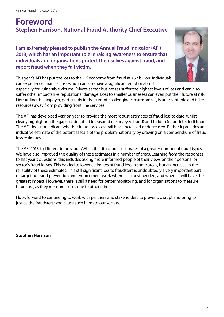## **Foreword Stephen Harrison, National Fraud Authority Chief Executive**

**I am extremely pleased to publish the Annual Fraud Indicator (AFI) 2013, which has an important role in raising awareness to ensure that individuals and organisations protect themselves against fraud, and report fraud when they fall victim.**



This year's AFI has put the loss to the UK economy from fraud at £52 billion. Individuals can experience financial loss which can also have a significant emotional cost,

especially for vulnerable victims. Private sector businesses suffer the highest levels of loss and can also suffer other impacts like reputational damage. Loss to smaller businesses can even put their future at risk. Defrauding the taxpayer, particularly in the current challenging circumstances, is unacceptable and takes resources away from providing front line services.

The AFI has developed year on year to provide the most robust estimates of fraud loss to date, whilst clearly highlighting the gaps in identified (measured or surveyed fraud) and hidden (or undetected) fraud. The AFI does not indicate whether fraud losses overall have increased or decreased. Rather it provides an indicative estimate of the potential scale of the problem nationally by drawing on a compendium of fraud loss estimates.

The AFI 2013 is different to previous AFIs in that it includes estimates of a greater number of fraud types. We have also improved the quality of these estimates in a number of areas. Learning from the responses to last year's questions, this includes asking more informed people of their views on their personal or sector's fraud losses. This has led to lower estimates of fraud loss in some areas, but an increase in the reliability of these estimates. This still significant loss to fraudsters is undoubtedly a very important part of targeting fraud prevention and enforcement work where it is most needed, and where it will have the greatest impact. However, there is still a need for better monitoring, and for organisations to measure fraud loss, as they measure losses due to other crimes.

I look forward to continuing to work with partners and stakeholders to prevent, disrupt and bring to justice the fraudsters who cause such harm to our society.

**Stephen Harrison**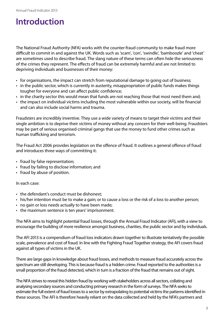## **Introduction**

The National Fraud Authority (NFA) works with the counter-fraud community to make fraud more difficult to commit in and against the UK. Words such as 'scam', 'con', 'swindle', 'bamboozle' and 'cheat' are sometimes used to describe fraud. The slang nature of these terms can often hide the seriousness of the crimes they represent. The effects of fraud can be extremely harmful and are not limited to depriving individuals and businesses of their money:

- for organisations, the impact can stretch from reputational damage to going out of business;
- in the public sector, which is currently in austerity, misappropriation of public funds makes things tougher for everyone and can affect public confidence;
- in the charity sector this would mean that funds are not reaching those that most need them and;
- the impact on individual victims including the most vulnerable within our society, will be financial and can also include social harms and trauma.

Fraudsters are incredibly inventive. They use a wide variety of means to target their victims and their single ambition is to deprive their victims of money without any concern for their well-being. Fraudsters may be part of serious organised criminal gangs that use the money to fund other crimes such as human trafficking and terrorism.

The Fraud Act 2006 provides legislation on the offence of fraud. It outlines a general offence of fraud and introduces three ways of committing it:

- fraud by false representation;
- fraud by failing to disclose information; and
- fraud by abuse of position.

#### In each case:

- the defendant's conduct must be dishonest;
- his/her intention must be to make a gain; or to cause a loss or the risk of a loss to another person;
- no gain or loss needs actually to have been made;
- the maximum sentence is ten years' imprisonment.

The NFA aims to highlight potential fraud losses, through the Annual Fraud Indicator (AFI), with a view to encourage the building of more resilience amongst business, charities, the public sector and by individuals.

The AFI 2013 is a compendium of fraud loss indicators drawn together to illustrate tentatively the possible scale, prevalence and cost of fraud. In line with the Fighting Fraud Together strategy, the AFI covers fraud against all types of victims in the UK.

There are large gaps in knowledge about fraud losses, and methods to measure fraud accurately across the spectrum are still developing. This is because fraud is a hidden crime. Fraud reported to the authorities is a small proportion of the fraud detected, which in turn is a fraction of the fraud that remains out of sight.

The NFA strives to reveal this hidden fraud by working with stakeholders across all sectors, collating and analysing secondary sources and conducting primary research in the form of surveys. The NFA seeks to estimate the full extent of fraud losses to a sector by extrapolating to potential victims the patterns identified in these sources. The AFI is therefore heavily reliant on the data collected and held by the NFA's partners and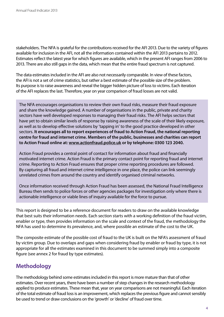stakeholders. The NFA is grateful for the contributions received for the AFI 2013. Due to the variety of figures available for inclusion in the AFI, not all the information contained within the AFI 2013 pertains to 2012. Estimates reflect the latest year for which figures are available, which in the present AFI ranges from 2006 to 2013. There are also still gaps in the data, which mean that the entire fraud spectrum is not captured.

The data estimates included in the AFI are also not necessarily comparable. In view of these factors, the AFI is not a set of crime statistics, but rather a best estimate of the possible size of the problem. Its purpose is to raise awareness and reveal the bigger hidden picture of loss to victims. Each iteration of the AFI replaces the last. Therefore, year on year comparison of fraud losses are not valid.

The NFA encourages organisations to review their own fraud risks, measure their fraud exposure and share the knowledge gained. A number of organisations in the public, private and charity sectors have well developed responses to managing their fraud risks. The AFI helps sectors that have yet to obtain similar levels of response by raising awareness of the scale of their likely exposure, as well as to develop effective solutions by 'tapping in' to the good practice developed in other sectors. **It encourages all to report experiences of fraud to Action Fraud, the national reporting centre for fraud and internet crime. Members of the public, businesses and charities can report to Action Fraud online at: <www.actionfraud.police.uk> or by telephone: 0300 123 2040.**

Action Fraud provides a central point of contact for information about fraud and financially motivated internet crime. Action Fraud is the primary contact point for reporting fraud and internet crime. Reporting to Action Fraud ensures that proper crime reporting procedures are followed. By capturing all fraud and internet crime intelligence in one place, the police can link seemingly unrelated crimes from around the country and identify organised criminal networks.

Once information received through Action Fraud has been assessed, the National Fraud Intelligence Bureau then sends to police forces or other agencies packages for investigation only where there is actionable intelligence or viable lines of inquiry available for the force to pursue.

This report is designed to be a reference document for readers to draw on the available knowledge that best suits their information needs. Each section starts with a working definition of the fraud victim, enabler or type, then provides information on the scale and context of the fraud, the methodology the NFA has used to determine its prevalence, and, where possible an estimate of the cost to the UK.

The composite estimate of the possible cost of fraud to the UK is built on the NFA's assessment of fraud by victim group. Due to overlaps and gaps when considering fraud by enabler or fraud by type, it is not appropriate for all the estimates examined in this document to be summed simply into a composite figure (see annex 2 for fraud by type estimates).

## **Methodology**

The methodology behind some estimates included in this report is more mature than that of other estimates. Over recent years, there have been a number of step changes in the research methodology applied to produce estimates. These mean that, year on year comparisons are not meaningful. Each iteration of the total estimate of fraud loss is an improvement, which replaces the previous figure and cannot sensibly be used to trend or draw conclusions on the 'growth' or 'decline' of fraud over time.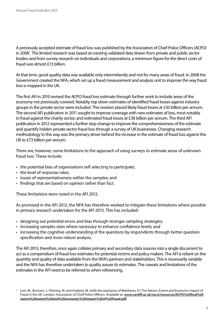A previously accepted estimate of fraud loss was published by the Association of Chief Police Officers (ACPO) in 2006<sup>1</sup>. The limited research was based on existing validated data drawn from private and public sector bodies and from survey research on individuals and corporations, a minimum figure for the direct costs of fraud was almost £13 billion.

At that time, good quality data was available only intermittently and not for many areas of fraud. In 2008 the Government created the NFA, which set up a fraud measurement and analysis unit to improve the way fraud loss is mapped in the UK.

The first AFI in 2010 revised the ACPO fraud loss estimate through further work to include areas of the economy not previously covered. Notably, top down estimates of identified fraud losses against industry groups in the private sector were included. This revision placed likely fraud losses at £30 billion per annum. The second AFI publication in 2011 sought to improve coverage with new estimates of loss, most notably in fraud against the charity sector, and estimated fraud losses at £38 billion per annum. The third AFI publication in 2012 represented a further step change to improve the comprehensiveness of the estimate and quantify hidden private sector fraud loss through a survey of UK businesses. Changing research methodology in this way was the primary driver behind the increase in the estimate of fraud loss against the UK to £73 billion per annum.

There are, however, some limitations to the approach of using surveys to estimate areas of unknown fraud loss. These include:

- the potential bias of organisations self selecting to participate;
- the level of response rates:
- issues of representativeness within the samples; and
- findings that are based on opinion rather than fact.

These limitations were noted in the AFI 2012.

As promised in the AFI 2012, the NFA has therefore worked to mitigate these limitations where possible in primary research undertaken for the AFI 2013. This has included:

- designing out potential errors and bias through stronger sampling strategies;
- increasing samples sizes where necessary to enhance confidence levels; and
- increasing the cognitive understanding of the questions by respondents through better question specification and more robust analysis.

The AFI 2013, therefore, once again collates primary and secondary data sources into a single document to act as a compendium of fraud loss estimates for potential victims and policy makers. The AFI is reliant on the quantity and quality of data available from the NFA's partners and stakeholders. This is necessarily variable and the NFA has therefore undertaken to quality assure its estimates. The caveats and limitations of the estimates in the AFI need to be referred to when referencing.

Levi, M., Burrows, J., Fleming, M. and Hopkins, M. (with the assistance of Matthews, K.) The Nature, Extent and Economic Impact of Fraud in the UK. London: Association of Chief Police Officers. Available at: **[www.cardiff.ac.uk/socsi/resources/ACPO%20final%20](www.cardiff.ac.uk/socsi/resources/ACPO%20final%20nature%20extent%20and%20economic%20impact%20of%20fraud.pdf) [nature%20extent%20and%20economic%20impact%20of%20fraud.pdf](www.cardiff.ac.uk/socsi/resources/ACPO%20final%20nature%20extent%20and%20economic%20impact%20of%20fraud.pdf)**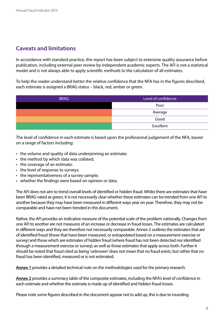## **Caveats and limitations**

In accordance with standard practice, this report has been subject to extensive quality assurance before publication, including external peer review by independent academic experts. The AFI is not a statistical model and is not always able to apply scientific methods to the calculation of all estimates.

To help the reader understand better the relative confidence that the NFA has in the figures described, each estimate is assigned a BRAG status – black, red, amber or green.

| <b>BRAG</b> | Level of confidence |
|-------------|---------------------|
|             | Poor                |
|             | Average             |
|             | Good                |
|             | Excellent           |

The level of confidence in each estimate is based upon the professional judgement of the NFA, based on a range of factors including:

- the volume and quality of data underpinning an estimate;
- the method by which data was collated;
- the coverage of an estimate;
- the level of response to surveys;
- the representativeness of a survey sample;
- whether the findings were based on opinion or data.

The AFI does not aim to trend overall levels of identified or hidden fraud. Whilst there are estimates that have been BRAG-rated as green, it is not necessarily clear whether these estimates can be trended from one AFI to another because they may have been measured in different ways year on year. Therefore, they may not be comparable and have not been trended in this document.

Rather, the AFI provides an indicative measure of the potential scale of the problem nationally. Changes from one AFI to another are not measures of an increase or decrease in fraud losses. The estimates are calculated in different ways and they are therefore not necessarily comparable. Annex 2 outlines the estimates that are of identified fraud (those that have been measured, or extrapolated based on a measurement exercise or survey) and those which are estimates of hidden fraud (where fraud has not been detected nor identified through a measurement exercise or survey); as well as those estimates that apply across both. Further it should be noted that fraud cited as being 'unknown' does not mean that no fraud exists, but rather that no fraud has been identified, measured or is not estimated.

**[Annex 1](#page-57-0)** provides a detailed technical note on the methodologies used for the primary research.

**[Annex 2](#page-65-0)** provides a summary table of the composite estimates, including the NFA's level of confidence in each estimate and whether the estimate is made up of identified and hidden fraud losses.

Please note some figures described in the document appear not to add up, this is due to rounding.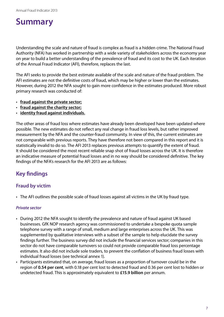## **Summary**

Understanding the scale and nature of fraud is complex as fraud is a hidden crime. The National Fraud Authority (NFA) has worked in partnership with a wide variety of stakeholders across the economy year on year to build a better understanding of the prevalence of fraud and its cost to the UK. Each iteration of the Annual Fraud Indicator (AFI), therefore, replaces the last.

The AFI seeks to provide the best estimate available of the scale and nature of the fraud problem. The AFI estimates are not the definitive costs of fraud, which may be higher or lower than the estimates. However, during 2012 the NFA sought to gain more confidence in the estimates produced. More robust primary research was conducted of:

- • **fraud against the private sector;**
- • **[fraud against the charity sector;](#page-21-0)**
- • **[identity fraud](#page-29-0) against individuals.**

The other areas of fraud loss where estimates have already been developed have been updated where possible. The new estimates do not reflect any real change in fraud loss levels, but rather improved measurement by the NFA and the counter-fraud community. In view of this, the current estimates are not comparable with previous reports. They have therefore not been compared in this report and it is statistically invalid to do so. The AFI 2013 replaces previous attempts to quantify the extent of fraud. It should be considered the most recent reliable snap shot of fraud losses across the UK. It is therefore an indicative measure of potential fraud losses and in no way should be considered definitive. The key findings of the NFA's research for the AFI 2013 are as follows:

## **Key findings**

#### **Fraud by victim**

• The AFI outlines the possible scale of fraud losses against all victims in the UK by fraud type.

#### *Private sector*

- During 2012 the NFA sought to identify the prevalence and nature of fraud against UK based businesses. GfK NOP research agency was commissioned to undertake a bespoke quota sample telephone survey with a range of small, medium and large enterprises across the UK. This was supplemented by qualitative interviews with a subset of the sample to help elucidate the survey findings further. The business survey did not include the financial services sector; companies in this sector do not have comparable turnovers so could not provide comparable fraud loss percentage estimates. It also did not include sole traders, to prevent the conflation of business fraud losses with individual fraud losses (see technical annex 1).
- Participants estimated that, on average, fraud losses as a proportion of turnover could be in the region of **0.54 per cent**, with 0.18 per cent lost to detected fraud and 0.36 per cent lost to hidden or undetected fraud. This is approximately equivalent to **£15.9 billion** per annum.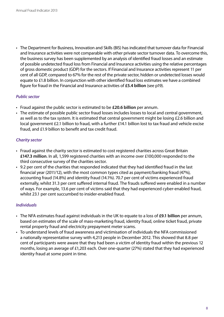• The Department for Business, Innovation and Skills (BIS) has indicated that turnover data for Financial and Insurance activities were not comparable with other private sector turnover data. To overcome this, the business survey has been supplemented by an analysis of identified fraud losses and an estimate of possible undetected fraud loss from Financial and Insurance activities using the relative percentages of gross domestic product (GDP) for the sectors. If Financial and Insurance activities represent 11 per cent of all GDP, compared to 67% for the rest of the private sector, hidden or undetected losses would equate to £1.8 billion. In conjunction with other identified fraud loss estimates we have a combined figure for fraud in the Financial and Insurance activities of **£5.4 billion** (see p19).

#### *Public sector*

- • Fraud against the public sector is estimated to be **£20.6 billion** per annum.
- The estimate of possible public sector fraud losses includes losses to local and central government, as well as to the tax system. It is estimated that central government might be losing £2.6 billion and local government £2.1 billion to fraud, with a further £14.1 billion lost to tax fraud and vehicle excise fraud, and £1.9 billion to benefit and tax credit fraud.

#### *Charity sector*

- Fraud against the charity sector is estimated to cost registered charities across Great Britain **£147.3 million**. In all, 1,599 registered charities with an income over £100,000 responded to the third consecutive survey of the charities sector.
- 9.2 per cent of the charities that responded indicated that they had identified fraud in the last financial year (2011/12), with the most common types cited as payment/banking fraud (47%), accounting fraud (14.8%) and identity fraud (14.1%). 70.7 per cent of victims experienced fraud externally, whilst 31.3 per cent suffered internal fraud. The frauds suffered were enabled in a number of ways. For example, 13.6 per cent of victims said that they had experienced cyber-enabled fraud, whilst 23.1 per cent succumbed to insider-enabled fraud.

#### *Individuals*

- • The NFA estimates fraud against individuals in the UK to equate to a loss of **£9.1 billion** per annum, based on estimates of the scale of mass-marketing fraud, identity fraud, online ticket fraud, private rental property fraud and electricity prepayment meter scams.
- To understand levels of fraud awareness and victimisation of individuals the NFA commissioned a nationally representative survey with 4,213 people in December 2012. This showed that 8.8 per cent of participants were aware that they had been a victim of identity fraud within the previous 12 months, losing an average of £1,203 each. Over one-quarter (27%) stated that they had experienced identity fraud at some point in time.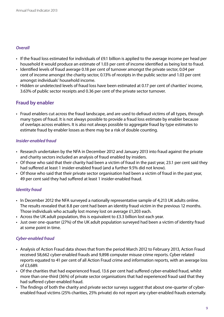#### *Overall*

- If the fraud loss estimated for individuals of £9.1 billion is applied to the average income per head per household it would produce an estimate of 1.03 per cent of income identified as being lost to fraud.
- Identified levels of fraud average 0.18 per cent of turnover amongst the private sector, 0.04 per cent of income amongst the charity sector, 0.13% of receipts in the public sector and 1.03 per cent amongst individuals' household income.
- Hidden or undetected levels of fraud loss have been estimated at 0.17 per cent of charities' income, 3.63% of public sector receipts and 0.36 per cent of the private sector turnover.

### **Fraud by enabler**

• Fraud enablers cut across the fraud landscape, and are used to defraud victims of all types, through many types of fraud. It is not always possible to provide a fraud loss estimate by enabler because of overlaps across enablers. It is also not always possible to aggregate fraud by type estimates to estimate fraud by enabler losses as there may be a risk of double counting.

#### *Insider-enabled fraud*

- • Research undertaken by the NFA in December 2012 and January 2013 into fraud against the private and charity sectors included an analysis of fraud enabled by insiders.
- Of those who said that their charity had been a victim of fraud in the past year, 23.1 per cent said they had suffered at least 1 insider-enabled fraud (and a further 9.5% did not know).
- Of those who said that their private sector organisation had been a victim of fraud in the past year, 49 per cent said they had suffered at least 1 insider-enabled fraud.

#### *Identity fraud*

- In December 2012 the NFA surveyed a nationally representative sample of 4,213 UK adults online. The results revealed that 8.8 per cent had been an identity fraud victim in the previous 12 months. Those individuals who actually lost money lost on average £1,203 each.
- Across the UK adult population, this is equivalent to £3.3 billion lost each year.
- Just over one-quarter (27%) of the UK adult population surveyed had been a victim of identity fraud at some point in time.

#### *Cyber-enabled fraud*

- Analysis of Action Fraud data shows that from the period March 2012 to February 2013, Action Fraud received 58,662 cyber-enabled frauds and 9,898 computer misuse crime reports. Cyber related reports equated to 41 per cent of all Action Fraud crime and information reports, with an average loss of £3,689.
- Of the charities that had experienced fraud, 13.6 per cent had suffered cyber-enabled fraud, whilst more than one-third (36%) of private sector organisations that had experienced fraud said that they had suffered cyber-enabled fraud.
- The findings of both the charity and private sector surveys suggest that about one-quarter of cyberenabled fraud victims (25% charities, 25% private) do not report any cyber-enabled frauds externally.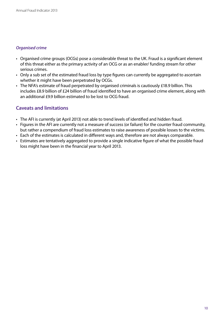#### *Organised crime*

- Organised crime groups (OCGs) pose a considerable threat to the UK. Fraud is a significant element of this threat either as the primary activity of an OCG or as an enabler/ funding stream for other serious crimes.
- Only a sub set of the estimated fraud loss by type figures can currently be aggregated to ascertain whether it might have been perpetrated by OCGs.
- The NFA's estimate of fraud perpetrated by organised criminals is cautiously £18.9 billion. This includes £8.9 billion of £24 billion of fraud identified to have an organised crime element, along with an additional £9.9 billion estimated to be lost to OCG fraud.

### **Caveats and limitations**

- The AFI is currently (at April 2013) not able to trend levels of identified and hidden fraud.
- Figures in the AFI are currently not a measure of success (or failure) for the counter fraud community, but rather a compendium of fraud loss estimates to raise awareness of possible losses to the victims.
- Each of the estimates is calculated in different ways and, therefore are not always comparable.
- Estimates are tentatively aggregated to provide a single indicative figure of what the possible fraud loss might have been in the financial year to April 2013.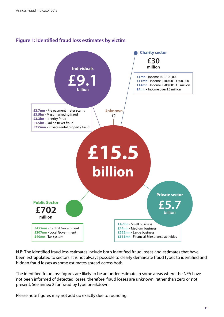

#### **Figure 1: Identified fraud loss estimates by victim**

N.B: The identified fraud loss estimates include both identified fraud losses and estimates that have been extrapolated to sectors. It is not always possible to clearly demarcate fraud types to identified and hidden fraud losses as some estimates spread across both.

The identified fraud loss figures are likely to be an under estimate in some areas where the NFA have not been informed of detected losses, therefore, fraud losses are unknown, rather than zero or not present. See annex 2 for fraud by type breakdown.

Please note figures may not add up exactly due to rounding.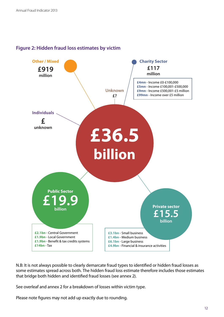

#### **Figure 2: Hidden fraud loss estimates by victim**

N.B: It is not always possible to clearly demarcate fraud types to identified or hidden fraud losses as some estimates spread across both. The hidden fraud loss estimate therefore includes those estimates that bridge both hidden and identified fraud losses (see annex 2).

See overleaf and annex 2 for a breakdown of losses within victim type.

Please note figures may not add up exactly due to rounding.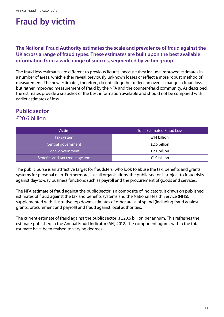## **Fraud by victim**

#### **The National Fraud Authority estimates the scale and prevalence of fraud against the UK across a range of fraud types. These estimates are built upon the best available information from a wide range of sources, segmented by victim group.**

The fraud loss estimates are different to previous figures, because they include improved estimates in a number of areas, which either reveal previously unknown losses or reflect a more robust method of measurement. The new estimates, therefore, do not altogether reflect an overall change in fraud loss, but rather improved measurement of fraud by the NFA and the counter-fraud community. As described, the estimates provide a snapshot of the best information available and should not be compared with earlier estimates of loss.

#### **Public sector**  £20.6 billion

| <b>Victim</b>                   | <b>Total Estimated Fraud Loss</b> |
|---------------------------------|-----------------------------------|
| Tax system                      | £14 billion                       |
| Central government              | £2.6 billion                      |
| Local government                | £2.1 billion                      |
| Benefits and tax credits system | £1.9 billion                      |

The public purse is an attractive target for fraudsters, who look to abuse the tax, benefits and grants systems for personal gain. Furthermore, like all organisations, the public sector is subject to fraud risks against day-to-day business functions such as payroll and the procurement of goods and services.

The NFA estimate of fraud against the public sector is a composite of indicators. It draws on published estimates of fraud against the tax and benefits systems and the National Health Service (NHS), supplemented with illustrative top down estimates of other areas of spend (including fraud against grants, procurement and payroll) and fraud against local authorities.

The current estimate of fraud against the public sector is £20.6 billion per annum. This refreshes the estimate published in the Annual Fraud Indicator (AFI) 2012. The component figures within the total estimate have been revised to varying degrees.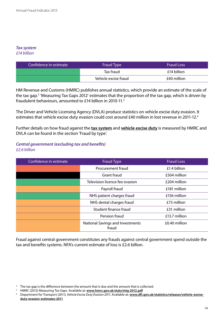#### *Tax system*

*£14 billion*

| Confidence in estimate | Fraud Type           | <b>Fraud Loss</b> |
|------------------------|----------------------|-------------------|
|                        | Tax fraud            | £14 billion       |
|                        | Vehicle excise fraud | £40 million       |

HM Revenue and Customs (HMRC) publishes annual statistics, which provide an estimate of the scale of the tax gap.<sup>2</sup> 'Measuring Tax Gaps 2012' estimates that the proportion of the tax gap, which is driven by fraudulent behaviours, amounted to £14 billion in 2010-11.3

The Driver and Vehicle Licensing Agency (DVLA) produce statistics on vehicle excise duty evasion. It estimates that vehicle excise duty evasion could cost around £40 million in lost revenue in 2011-12.<sup>4</sup>

Further details on how fraud against the **tax system** and **vehicle excise duty** is measured by HMRC and DVLA can be found in the section 'Fraud by type'.

#### *Central government (excluding tax and benefits) £2.6 billion*

| Confidence in estimate | Fraud Type                                       | <b>Fraud Loss</b> |
|------------------------|--------------------------------------------------|-------------------|
|                        | Procurement fraud                                | £1.4 billion      |
|                        | <b>Grant fraud</b>                               | £504 million      |
|                        | Television licence fee evasion                   | £204 million      |
|                        | Payroll fraud                                    | £181 million      |
|                        | NHS patient charges fraud                        | £156 million      |
|                        | NHS dental charges fraud                         | £73 million       |
|                        | Student finance fraud                            | £31 million       |
|                        | Pension fraud                                    | £13.7 million     |
|                        | <b>National Savings and Investments</b><br>fraud | £0.40 million     |

Fraud against central government constitutes any frauds against central government spend outside the tax and benefits systems. NFA's current estimate of loss is £2.6 billion.

<sup>&</sup>lt;sup>2</sup> The tax gap is the difference between the amount that is due and the amount that is collected.

<sup>&</sup>lt;sup>3</sup> HMRC (2012) Measuring Tax Gaps. Available at: <www.hmrc.gov.uk/stats/mtg-2012.pdf>

<sup>4</sup> Department for Transport (2011), *Vehicle Excise Duty Evasion 2011*. Available at: **[www.dft.gov.uk/statistics/releases/vehicle-excise](www.dft.gov.uk/statistics/releases/vehicle-excise-duty-evasion-estimates-2011)[duty-evasion-estimates-2011](www.dft.gov.uk/statistics/releases/vehicle-excise-duty-evasion-estimates-2011)**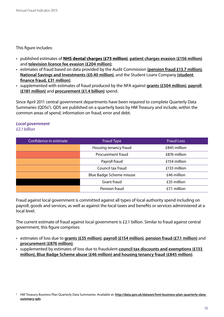This figure includes:

- • published estimates of **NHS dental charges (£73 million)**, **patient charges evasion (£156 million)** and **television licence fee evasion (£204 million)**;
- • estimates of fraud based on data provided by the Audit Commission **(pension fraud £13.7 million)**, **National Savings and Investments (£0.40 million)**, and the Student Loans Company **(student finance fraud, £31 million)**;
- • supplemented with estimates of fraud produced by the NFA against **[grants \(£504 million\)](#page-37-0)**, **payroll (£181 million)** and **procurement (£1.4 billion)** spend.

Since April 2011 central government departments have been required to complete Quarterly Data Summaries (QDSs<sup>5</sup>). QDS are published on a quarterly basis by HM Treasury and include, within the common areas of spend, information on fraud, error and debt.

#### *Local government £2.1 billion*

| Confidence in estimate | Fraud Type               | <b>Fraud Loss</b> |
|------------------------|--------------------------|-------------------|
|                        | Housing tenancy fraud    | £845 million      |
|                        | Procurement fraud        | £876 million      |
|                        | Payroll fraud            | £154 million      |
|                        | Council tax fraud        | £133 million      |
|                        | Blue Badge Scheme misuse | £46 million       |
|                        | <b>Grant fraud</b>       | £35 million       |
|                        | Pension fraud            | £7.1 million      |

Fraud against local government is committed against all types of local authority spend including on payroll, goods and services, as well as against the local taxes and benefits or services administered at a local level.

The current estimate of fraud against local government is £2.1 billion. Similar to fraud against central government, this figure comprises:

- • estimates of loss due to **[grants \(£35 million\)](#page-37-0)**, **payroll (£154 million)**, **pension fraud (£7.1 million)** and **procurement (£876 million)**;
- • supplemented by estimates of loss due to fraudulent **[council tax discounts and exemptions \(£133](#page-36-0)  [million\)](#page-36-0), [Blue Badge Scheme abuse \(£46 million\)](#page-35-0) and [housing tenancy fraud \(£845 million\)](#page-38-0)**.

<sup>&</sup>lt;sup>5</sup> HM Treasury Business Plan Quarterly Data Summaries. Available at: **[http://data.gov.uk/dataset/hmt-business-plan-quarterly-data](http://data.gov.uk/dataset/hmt-business-plan-quarterly-data-summary-qds)[summary-qds](http://data.gov.uk/dataset/hmt-business-plan-quarterly-data-summary-qds)**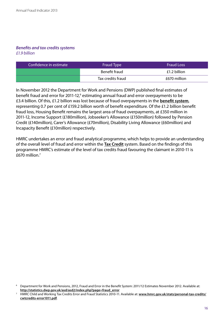#### *Benefits and tax credits systems £1.9 billion*

| Confidence in estimate | Fraud Type        | <b>Fraud Loss</b> |
|------------------------|-------------------|-------------------|
|                        | Benefit fraud     | £1.2 billion      |
|                        | Tax credits fraud | £670 million      |

In November 2012 the Department for Work and Pensions (DWP) published final estimates of benefit fraud and error for 2011-12,<sup>6</sup> estimating annual fraud and error overpayments to be £3.4 billion. Of this, £1.2 billion was lost because of fraud overpayments in the **[benefit system](#page-34-0)**, representing 0.7 per cent of £159.2 billion worth of benefit expenditure. Of the £1.2 billion benefit fraud loss, Housing Benefit remains the largest area of fraud overpayments, at £350 million in 2011-12, Income Support (£180million), Jobseeker's Allowance (£150million) followed by Pension Credit (£140million), Carer's Allowance (£70million), Disability Living Allowance (£60million) and Incapacity Benefit (£10million) respectively.

HMRC undertakes an error and fraud analytical programme, which helps to provide an understanding of the overall level of fraud and error within the **Tax Credit** system. Based on the findings of this programme HMRC's estimate of the level of tax credits fraud favouring the claimant in 2010-11 is £670 million.7

<sup>6</sup> Department for Work and Pensions, 2012, Fraud and Error in the Benefit System: 2011/12 Estimates November 2012. Available at: **[http://statistics.dwp.gov.uk/asd/asd2/index.php?page=fraud\\_error](http://statistics.dwp.gov.uk/asd/asd2/index.php?page=fraud_error)**

<sup>7</sup> HMRC Child and Working Tax Credits Error and Fraud Statistics 2010-11. Available at: **[www.hmrc.gov.uk/stats/personal-tax-credits/](www.hmrc.gov.uk/stats/personal-tax-credits/cwtcredits-error1011.pdf) [cwtcredits-error1011.pdf](www.hmrc.gov.uk/stats/personal-tax-credits/cwtcredits-error1011.pdf)**.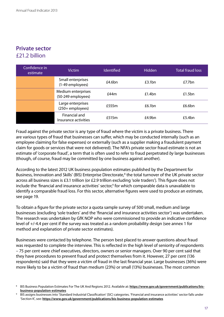## **Private sector**  £21.2 billion

| Confidence in<br>estimate | <b>Victim</b>                            | <b>Identified</b> | <b>Hidden</b> | <b>Total fraud loss</b> |
|---------------------------|------------------------------------------|-------------------|---------------|-------------------------|
|                           | Small enterprises<br>(1-49 employees)    | £4.6 $bn$         | £3.1bn        | £7.7bn                  |
|                           | Medium enterprises<br>(50-249 employees) | £44m              | £1.4bn        | £1.5 $bn$               |
|                           | Large enterprises<br>(250+ employees)    | £555m             | £6.1bn        | £6.6bn                  |
|                           | Financial and<br>Insurance activities    | £515m             | £4.9bn        | £5.4 $bn$               |

Fraud against the private sector is any type of fraud where the victim is a private business. There are various types of fraud that businesses can suffer, which may be conducted internally (such as an employee claiming for false expenses) or externally (such as a supplier making a fraudulent payment claim for goods or services that were not delivered). The NFA's private sector fraud estimate is not an estimate of 'corporate fraud', a term that is often used to refer to fraud perpetrated *by* large businesses (though, of course, fraud may be committed by one business against another).

According to the latest 2012 UK business population estimates published by the Department for Business, Innovation and Skills' (BIS) Enterprise Directorate,<sup>8</sup> the total turnover of the UK private sector across all business sizes is £3.1 trillion (or £2.9 trillion excluding 'sole traders'). This figure does not include the 'financial and insurance activities' sector,<sup>9</sup> for which comparable data is unavailable to identify a comparable fraud loss. For this sector, alternative figures were used to produce an estimate, see page 19.

To obtain a figure for the private sector a quota sample survey of 500 small, medium and large businesses (excluding 'sole traders' and the 'financial and insurance activities sector') was undertaken. The research was undertaken by GfK NOP who were commissioned to provide an indicative confidence level of +/-4.4 per cent if the survey was treated as a random probability design (see annex 1 for method and explanation of private sector estimates).

Businesses were contacted by telephone. The person best placed to answer questions about fraud was requested to complete the interview. This is reflected in the high level of seniority of respondents – 75 per cent were chief executives, directors, owners or senior managers. Over 90 per cent said that they have procedures to prevent fraud and protect themselves from it. However, 27 per cent (136 respondents) said that they were a victim of fraud in the last financial year. Large businesses (36%) were more likely to be a victim of fraud than medium (23%) or small (13%) businesses. The most common

<sup>&</sup>lt;sup>8</sup> BIS Business Population Estimates For The UK And Regions 2012. Available at: **[https://www.gov.uk/government/publications/bis](https://www.gov.uk/government/publications/bis-business-population-estimates)[business-population-estimates](https://www.gov.uk/government/publications/bis-business-population-estimates)**

<sup>9</sup> BIS assigns businesses into 'Standard Industrial Classification' (SIC) categories. 'Financial and insurance activities' sector falls under 'Section K', see: **<https://www.gov.uk/government/publications/bis-business-population-estimates>**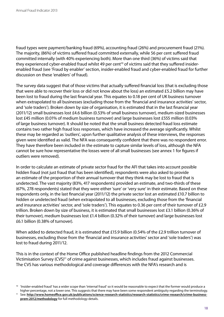fraud types were payment/banking fraud (69%), accounting fraud (26%) and procurement fraud (21%). The majority, (86%) of victims suffered fraud committed externally, while 56 per cent suffered fraud committed internally (with 40% experiencing both). More than one third (36%) of victims said that they experienced cyber-enabled fraud whilst 49 per cent<sup>10</sup> of victims said that they suffered insiderenabled fraud (see 'Fraud by enabler' section, insider-enabled fraud and cyber-enabled fraud for further discussion on these 'enablers' of fraud).

The survey data suggest that of those victims that actually suffered financial loss (that is excluding those that were able to recover their loss or did not know about the loss) an estimated £5.2 billion may have been lost to fraud during the last financial year. This equates to 0.18 per cent of UK business turnover when extrapolated to all businesses (excluding those from the 'financial and insurance activities' sector, and 'sole traders'). Broken down by size of organisation, it is estimated that in the last financial year (2011/12) small businesses lost £4.6 billion (0.53% of small business turnover), medium-sized businesses lost £45 million (0.01% of medium business turnover) and large businesses lost £555 million (0.03% of large business turnover). It should be noted that the small business detected fraud loss estimate contains two rather high fraud loss responses, which have increased the average significantly. Whilst these may be regarded as 'outliers', upon further qualitative analysis of these interviews, the responses given were identified as valid. The NFA was consequently confident that there was no respondent error. They have therefore been included in the estimate to capture similar levels of loss, although the NFA cannot be sure how representative the losses were of all small businesses (see annex 1 for figures if outliers were removed).

In order to calculate an estimate of private sector fraud for the AFI that takes into account possible hidden fraud (not just fraud that has been identified), respondents were also asked to provide an estimate of the proportion of their annual turnover that they think may be lost to fraud that is undetected. The vast majority (83%, 417 respondents) provided an estimate, and two-thirds of these (67%, 278 respondents) stated that they were either 'sure' or 'very sure' in their estimate. Based on these respondents only, in the last financial year (2011/12) the private sector lost an estimated £10.7 billion to hidden or undetected fraud (when extrapolated to all businesses, excluding those from the 'financial and insurance activities' sector, and 'sole traders'). This equates to 0.36 per cent of their turnover of £2.9 trillion. Broken down by size of business, it is estimated that small businesses lost £3.1 billion (0.36% of their turnover), medium businesses lost £1.4 billion (0.32% of their turnover) and large businesses lost £6.1 billion (0.38% of turnover).

When added to detected fraud, it is estimated that £15.9 billion (0.54% of the £2.9 trillion turnover of businesses, excluding those from the 'financial and insurance activities' sector and 'sole traders') was lost to fraud during 2011/12.

This is in the context of the Home Office published headline findings from the 2012 Commercial Victimisation Survey (CVS)<sup>11</sup> of crime against businesses, which includes fraud against businesses. The CVS has various methodological and coverage differences with the NFA's research and is

<sup>10</sup> 'Insider-enabled fraud' has a wider scope than 'internal fraud' so it would be reasonable to expect that the former would produce a higher percentage, not a lower one. This suggests that there may have been some respondent ambiguity regarding the terminology.

<sup>&</sup>lt;sup>11</sup> See: [http://www.homeoffice.gov.uk/publications/science-research-statistics/research-statistics/crime-research/crime-business](http://www.homeoffice.gov.uk/publications/science-research-statistics/research-statistics/crime-research/crime-business-prem-2012/methodology)**[prem-2012/methodology](http://www.homeoffice.gov.uk/publications/science-research-statistics/research-statistics/crime-research/crime-business-prem-2012/methodology)** for full methodology details.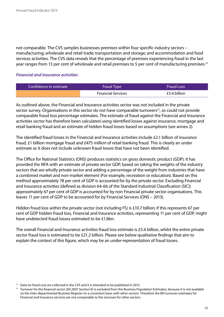not comparable. The CVS samples businesses premises within four specific industry sectors – manufacturing; wholesale and retail trade; transportation and storage; and accommodation and food services activities. The CVS data reveals that the percentage of premises experiencing fraud in the last year ranges from 13 per cent of wholesale and retail premises to 5 per cent of manufacturing premises.12

#### *Financial and insurance activities*

| Confidence in estimate | Fraud Type                | <b>Fraud Loss</b> |
|------------------------|---------------------------|-------------------|
|                        | <b>Financial Services</b> | £5.4 billion      |

As outlined above, the Financial and Insurance activities sector was not included in the private sector survey. Organisations in this sector do not have comparable turnovers<sup>13</sup>, so could not provide comparable fraud loss percentage estimates. The estimate of fraud against the Financial and Insurance activities sector has therefore been calculated using identified losses against insurance, mortgage and retail banking fraud and an estimate of hidden fraud losses based on assumptions (see annex 2).

The identified fraud losses in the Financial and Insurance activities include £2.1 billion of insurance fraud, £1 billion mortgage fraud and £475 million of retail banking fraud. This is clearly an under estimate as it does not include unknown fraud losses that have not been identified.

The Office for National Statistics (ONS) produces statistics on gross domestic product (GDP). It has provided the NFA with an estimate of private sector GDP, based on taking the weights of the industry sectors that are wholly private sector and adding a percentage of the weight from industries that have a combined market and non-market element (For example, recreation or education). Based on this method approximately 78 per cent of GDP is accounted for by the private sector. Excluding Financial and Insurance activities (defined as division 64-66 of the Standard Industrial Classification (SIC)) approximately 67 per cent of GDP is accounted for by non Financial private sector organisations. This leaves 11 per cent of GDP to be accounted for by Financial Services (ONS – 2013).

Hidden fraud loss within the private sector (not including FS) is £10.7 billion; if this represents 67 per cent of GDP hidden fraud loss, Financial and Insurance activities, representing 11 per cent of GDP, might have undetected fraud losses estimated to be £1.8bn.

The overall Financial and Insurance activities fraud loss estimate is £5.4 billion, whilst the entire private sector fraud loss is estimated to be £21.2 billion. Please see below qualitative findings that aim to explain the context of this figure, which may be an under-representation of fraud losses.

 $12$  Data on fraud cost are collected in the CVS and it is intended to be published in 2013.

<sup>&</sup>lt;sup>13</sup> Turnover for the financial sector (SIC2007 Section K) is excluded from the Business Population Estimates, because it is not available on the Inter-departmental Business Register on a consistent basis with other sectors. Therefore the BIS turnover estimates for Financial and Insurance services are not comparable to the turnover for other sectors.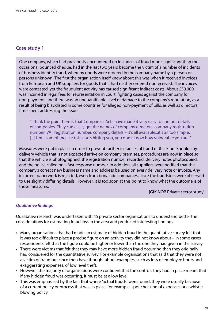One company, which had previously encountered no instances of fraud more significant than the occasional bounced cheque, had in the last two years become the victim of a number of incidents of business identity fraud, whereby goods were ordered in the company name by a person or persons unknown. The first the organisation itself knew about this was when it received invoices from European and UK suppliers for goods that it had neither ordered nor received. The invoices were contested, yet the fraudulent activity has caused significant indirect costs. About £50,000 was incurred in legal fees for representation in court, fighting cases against the company for non-payment, and there was an unquantifiable level of damage to the company's reputation, as a result of being blacklisted in some countries for alleged non-payment of bills, as well as directors' time spent addressing the issue.

"I think the point here is that Companies Acts have made it very easy to find out details of companies. They can easily get the names of company directors, company registration number, VAT registration number, company details – it's all available...it's all too simple. [...] Until something like this starts hitting you, you don't know how vulnerable you are."

Measures were put in place in order to prevent further instances of fraud of this kind. Should any delivery vehicle that is not expected arrive on company premises, procedures are now in place so that the vehicle is photographed, the registration number recorded, delivery notes photocopied, and the police called on a fast response number. In addition, all suppliers were notified that the company's correct new business name and address be used on every delivery note or invoice. Any incorrect paperwork is rejected, even from bona fide companies, since the fraudsters were observed to use slightly differing details. However, it is too soon at this point to know what the outcome is of these measures.

[GfK NOP Private sector study]

#### *Qualitative findings*

Qualitative research was undertaken with 45 private sector organisations to understand better the considerations for estimating fraud loss in the area and produced interesting findings.

- • Many organisations that had made an estimate of hidden fraud in the quantitative survey felt that it was too difficult to place a precise figure on an activity they did not know about – in some cases respondents felt that the figure could be higher or lower than the one they had given in the survey.
- There were victims that felt that they may have more hidden fraud occurring than they originally had considered for the quantitative survey. For example organisations that said that they were not a victim of fraud but since then have thought about examples, such as loss of employee hours and exaggerating expenses, of low level theft.
- However, the majority of organisations were confident that the controls they had in place meant that if any hidden fraud was occurring, it must be at a low level.
- This was emphasised by the fact that where 'actual frauds' were found, they were usually because of a current policy or process that was in place, for example, spot checking of expenses or a whistle blowing policy.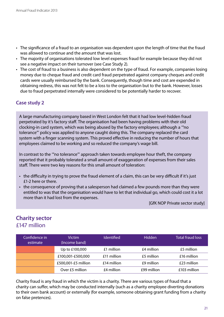- The significance of a fraud to an organisation was dependent upon the length of time that the fraud was allowed to continue and the amount that was lost.
- The majority of organisations tolerated low level expenses fraud for example because they did not see a negative impact on their turnover (see Case Study 2).
- The cost of fraud to a business is also dependent on the type of fraud. For example, companies losing money due to cheque fraud and credit card fraud perpetrated against company cheques and credit cards were usually reimbursed by the bank. Consequently, though time and cost are expended in obtaining redress, this was not felt to be a loss to the organisation but to the bank. However, losses due to fraud perpetrated internally were considered to be potentially harder to recover.

A large manufacturing company based in West London felt that it had low level-hidden fraud perpetrated by it's factory staff. The organisation had been having problems with their old clocking-in card system, which was being abused by the factory employees; although a '"no tolerance"' policy was applied to anyone caught doing this. The company replaced the card system with a finger scanning system. This proved effective in reducing the number of hours that employees claimed to be working and so reduced the company's wage bill.

In contrast to the '"no tolerance"' approach taken towards employee hour theft, the company reported that it probably tolerated a small amount of exaggeration of expenses from their sales staff. There were two key reasons for this small amount of toleration:

- the difficulty in trying to prove the fraud element of a claim, this can be very difficult if it's just £1-2 here or there.
- the consequence of proving that a salesperson had claimed a few pounds more than they were entitled to was that the organisation would have to let that individual go, which could cost it a lot more than it had lost from the expenses.

[GfK NOP Private sector study]

## <span id="page-21-0"></span>**Charity sector** £147 million

| Confidence in<br>estimate | <b>Victim</b><br>(Income band) | <b>Identified</b> | <b>Hidden</b> | <b>Total fraud loss</b> |
|---------------------------|--------------------------------|-------------------|---------------|-------------------------|
|                           | Up to £100,000                 | £1 million        | £4 million    | £5 million              |
|                           | £100,001-£500,000              | £11 million       | £5 million    | £16 million             |
|                           | £500,001-£5 million            | £14 million       | £9 million    | £23 million             |
|                           | Over £5 million                | £4 million        | £99 million   | £103 million            |

Charity fraud is any fraud in which the victim is a charity. There are various types of fraud that a charity can suffer, which may be conducted internally (such as a charity employee diverting donations to their own bank account) or externally (for example, someone obtaining grant funding from a charity on false pretences).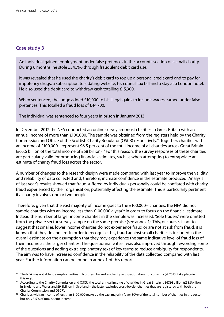An individual gained employment under false pretences in the accounts section of a small charity. During 6 months, he stole £34,796 through fraudulent debit card use.

It was revealed that he used the charity's debit card to top up a personal credit card and to pay for impotency drugs, a subscription to a dating website, his council tax bill and a stay at a London hotel. He also used the debit card to withdraw cash totalling £15,900.

When sentenced, the judge added £10,000 to his illegal gains to include wages earned under false pretences. This totalled a fraud loss of £44,700.

The individual was sentenced to four years in prison in January 2013.

In December 2012 the NFA conducted an online survey amongst charities in Great Britain with an annual income of more than £100,000. The sample was obtained from the registers held by the Charity Commission and Office of the Scottish Charity Regulator (OSCR) respectively.14 Together, charities with an income of £100,000+ represent 96.5 per cent of the total income of all charities across Great Britain (£65.6 billion of the total income of £68 billion).15 For this reason, the survey responses of these charities are particularly valid for producing financial estimates, such as when attempting to extrapolate an estimate of charity fraud loss across the sector.

A number of changes to the research design were made compared with last year to improve the validity and reliability of data collected and, therefore, increase confidence in the estimate produced. Analysis of last year's results showed that fraud suffered by individuals personally could be conflated with charity fraud experienced by their organisation, potentially affecting the estimate. This is particularly pertinent if a charity involves one or two people.

Therefore, given that the vast majority of income goes to the £100,000+ charities, the NFA did not sample charities with an income less than £100,000 a year<sup>16</sup> in order to focus on the financial estimate. Instead the number of larger income charities in the sample was increased. 'Sole traders' were omitted from the private sector survey sample on the same premise (see annex 1). This, of course, is not to suggest that smaller, lower income charities do not experience fraud or are not at risk from fraud, it is known that they do and are. In order to recognise this, fraud against small charities is included in the overall estimate on the assumption that they may experience the same indicative level of fraud loss of their income as the larger charities. The questionnaire itself was also improved through rewording some of the questions and adding extra explanatory text of key terms to reduce ambiguity for respondents. The aim was to have increased confidence in the reliability of the data collected compared with last year. Further information can be found in annex 1 of this report.

<sup>&</sup>lt;sup>14</sup> The NFA was not able to sample charities in Northern Ireland as charity registration does not currently (at 2013) take place in this region.<br><sup>15</sup> According to the Charity Commission and OSCR, the total annual income of charities in Great Britain is £67.98billion (£58.5billion

in England and Wales and £9.5billion in Scotland – the latter excludes cross-border charities that are registered with both the Charity Commission and OSCR).

<sup>&</sup>lt;sup>16</sup> Charities with an income of less than £100,000 make up the vast majority (over 80%) of the total number of charities in the sector, but only 3.5% of total sector income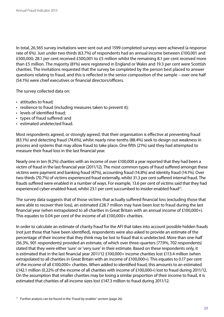In total, 26,565 survey invitations were sent out and 1599 completed surveys were achieved (a response rate of 6%). Just under two thirds (63.7%) of respondents had an annual income between £100,001 and £500,000; 28.1 per cent received £500,001 to £5 million whilst the remaining 8.1 per cent received more than £5 million. The majority (81%) were registered in England or Wales and 19.3 per cent were Scottish charities. The invitations requested that the survey be completed by the person best placed to answer questions relating to fraud, and this is reflected in the senior composition of the sample – over one half (54.1%) were chief executives or financial directors/officers.

The survey collected data on:

- attitudes to fraud;
- resilience to fraud (including measures taken to prevent it);
- levels of identified fraud;
- • types of fraud suffered: and
- • estimated undetected fraud.

Most respondents agreed, or strongly agreed, that their organisation is effective at preventing fraud (83.1%) and detecting fraud (74.6%), whilst nearly nine-tenths (88.4%) seek to design out weakness in process and systems that may allow fraud to take place. One fifth (21%) said they had attempted to measure their fraud loss in the last financial year.

Nearly one in ten (9.2%) charities with an income of over £100,000 a year reported that they had been a victim of fraud in the last financial year (2011/12). The most common types of fraud suffered amongst these victims were payment and banking fraud (47%), accounting fraud (14.8%) and identity fraud (14.1%). Over two-thirds (70.7%) of victims experienced fraud externally, whilst 31.3 per cent suffered internal fraud. The frauds suffered were enabled in a number of ways. For example, 13.6 per cent of victims said that they had experienced cyber-enabled fraud, whilst 23.1 per cent succumbed to insider-enabled fraud<sup>17</sup>.

The survey data suggests that of those victims that actually suffered financial loss (excluding those that were able to recover their loss), an estimated £28.7 million may have been lost to fraud during the last financial year (when extrapolated to all charities in Great Britain with an annual income of £100,000+). This equates to 0.04 per cent of the income of all £100,000+ charities.

In order to calculate an estimate of charity fraud for the AFI that takes into account possible hidden frauds (not just those that have been identified), respondents were also asked to provide an estimate of the percentage of their income that they think may be lost to fraud that is undetected. More than one-half (56.3%, 901 respondents) provided an estimate, of which over three-quarters (77.9%, 702 respondents) stated that they were either 'sure' or 'very sure' in their estimate. Based on these respondents only, it is estimated that in the last financial year 2011/12 £100,000+ income charities lost £113.4 million (when extrapolated to all charities in Great Britain with an income of £100,000+). This equates to 0.17 per cent of the income of all £100,000+ charities. When added to identified fraud, this amounts to an estimated £142.1 million (0.22% of the income of all charities with income of £100,000+) lost to fraud during 2011/12. On the assumption that smaller charities may be losing a similar proportion of their income to fraud, it is estimated that charities of all income sizes lost £147.3 million to fraud during 2011/12.

<sup>&</sup>lt;sup>17</sup> Further analysis can be found in the 'Fraud by enabler' section (page 26).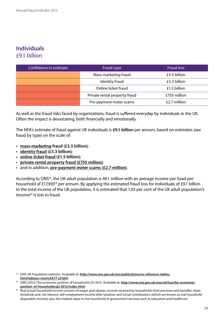## **Individuals** £9.1 billion

| Confidence in estimate | Fraud type                    | <b>Fraud loss</b> |
|------------------------|-------------------------------|-------------------|
|                        | Mass-marketing fraud          | £3.5 billion      |
|                        | Identity fraud                | £3.3 billion      |
|                        | Online ticket fraud           | £1.5 billion      |
|                        | Private rental property fraud | £755 million      |
|                        | Pre-payment meter scams       | £2.7 million      |

As well as the fraud risks faced by organisations, fraud is suffered everyday by individuals in the UK. Often the impact is devastating, both financially and emotionally.

The NFA's estimate of fraud against UK individuals is **£9.1 billion** per annum, based on estimates (see fraud by type) on the scale of:

- **• [mass-marketing fraud \(£3.5 billion\);](#page-40-0)**
- **• [identity fraud \(£3.3 billion\);](#page-29-0)**
- **• online ticket fraud (£1.5 billion);**
- • **private rental property fraud (£755 million)**;
- • and in addition, **pre-payment meter scams (£2.7 million)**.

According to ONS<sup>18</sup>, the UK adult population is 49.1 million with an average income per head per household of £17,993<sup>19</sup> per annum. By applying the estimated fraud loss for individuals of £9.1 billion to the total income of the UK population, it is estimated that 1.03 per cent of the UK adult population's income<sup>20</sup> is lost to fraud.

<sup>18</sup> ONS UK Population statistics. Available at: **[http://www.ons.gov.uk/ons/publications/re-reference-tables.](http://www.ons.gov.uk/ons/publications/re-reference-tables.html?edition=tcm%3A77-231847) [html?edition=tcm%3A77-231847](http://www.ons.gov.uk/ons/publications/re-reference-tables.html?edition=tcm%3A77-231847)**

<sup>&</sup>lt;sup>19</sup> ONS (2012) The economic position of households Q3 2012. Available at: **[http://www.ons.gov.uk/ons/rel/hsa/the-economic](http://www.ons.gov.uk/ons/rel/hsa/the-economic-position-of-households/q3-2012/index.html)[position-of-households/q3-2012/index.html](http://www.ons.gov.uk/ons/rel/hsa/the-economic-position-of-households/q3-2012/index.html)**

<sup>&</sup>lt;sup>20</sup> Real actual household income consists of wages and salaries, income received by households from pensions and benefits; share dividends and, net interest; self-employment income after taxation; and social contributions (which are known as real household disposable income), plus the implied value to the household of government services such as education and healthcare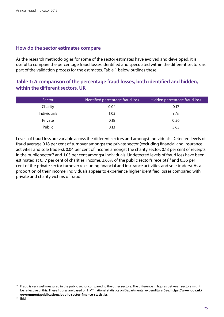#### **How do the sector estimates compare**

As the research methodologies for some of the sector estimates have evolved and developed, it is useful to compare the percentage fraud losses identified and speculated within the different sectors as part of the validation process for the estimates. Table 1 below outlines these.

#### **Table 1: A comparison of the percentage fraud losses, both identified and hidden, within the different sectors, UK**

| Sector      | Identified percentage fraud loss | Hidden percentage fraud loss |
|-------------|----------------------------------|------------------------------|
| Charity     | 0.04                             | 0.17                         |
| Individuals | 1.03                             | n/a                          |
| Private     | 0.18                             | 0.36                         |
| Public      | 0.13                             | 3.63                         |

Levels of fraud loss are variable across the different sectors and amongst individuals. Detected levels of fraud average 0.18 per cent of turnover amongst the private sector (excluding financial and insurance activities and sole traders), 0.04 per cent of income amongst the charity sector, 0.13 per cent of receipts in the public sector<sup>21</sup> and 1.03 per cent amongst individuals. Undetected levels of fraud loss have been estimated at 0.17 per cent of charities' income, 3.63% of the public sector's receipts<sup>22</sup> and 0.36 per cent of the private sector turnover (excluding financial and insurance activities and sole traders). As a proportion of their income, individuals appear to experience higher identified losses compared with private and charity victims of fraud.

<sup>&</sup>lt;sup>21</sup> Fraud is very well measured in the public sector compared to the other sectors. The difference in figures between sectors might be reflective of this. These figures are based on HMT national statistics on Departmental expenditure. See: **[https://www.gov.uk/](https://www.gov.uk/government/publications/public) [government/publications/public-](https://www.gov.uk/government/publications/public)sector-finance-statistics**

 $22$  Ibid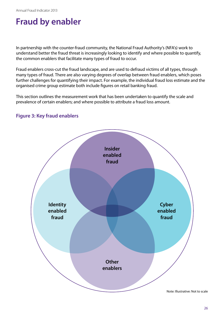## **Fraud by enabler**

In partnership with the counter-fraud community, the National Fraud Authority's (NFA's) work to understand better the fraud threat is increasingly looking to identify and where possible to quantify, the common enablers that facilitate many types of fraud to occur.

Fraud enablers cross-cut the fraud landscape, and are used to defraud victims of all types, through many types of fraud. There are also varying degrees of overlap between fraud enablers, which poses further challenges for quantifying their impact. For example, the individual fraud loss estimate and the organised crime group estimate both include figures on retail banking fraud.

This section outlines the measurement work that has been undertaken to quantify the scale and prevalence of certain enablers; and where possible to attribute a fraud loss amount.



#### **Figure 3: Key fraud enablers**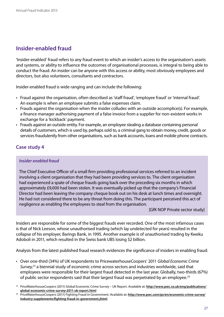## **Insider-enabled fraud**

'Insider-enabled' fraud refers to any fraud event to which an insider's access to the organisation's assets and systems, or ability to influence the outcomes of organisational processes, is integral to being able to conduct the fraud. An insider can be anyone with this access or ability, most obviously employees and directors, but also volunteers, consultants and contractors.

Insider-enabled fraud is wide ranging and can include the following:

- Fraud against the organisation, often described as 'staff fraud', 'employee fraud' or 'internal fraud'. An example is when an employee submits a false expenses claim.
- Frauds against the organisation when the insider colludes with an outside accomplice(s). For example, a finance manager authorising payment of a false invoice from a supplier for non-existent works in exchange for a 'kickback' payment.
- Frauds against an outside entity. For example, an employee stealing a database containing personal details of customers, which is used by, perhaps sold to, a criminal gang to obtain money, credit, goods or services fraudulently from other organisations, such as bank accounts, loans and mobile phone contracts.

#### **Case study 4**

#### *Insider enabled fraud*

The Chief Executive Officer of a small firm providing professional services referred to an incident involving a client organisation that they had been providing services to. The client organisation had experienced a spate of cheque frauds going back over the preceding six months in which approximately £9,000 had been stolen. It was eventually picked up that the company's Financial Director had been leaving the company cheque book out on his desk at lunch times and overnight. He had not considered there to be any threat from doing this. The participant perceived this act of negligence as enabling the employees to steal from the organisation.

[GfK NOP Private sector study]

Insiders are responsible for some of the biggest frauds ever recorded. One of the most infamous cases is that of Nick Leeson, whose unauthorised trading (which lay undetected for years) resulted in the collapse of his employer, Barings Bank, in 1995. Another example is of unauthorised trading by Kweku Adoboli in 2011, which resulted in the Swiss bank UBS losing \$2 billion.

Analysis from the latest published fraud research evidences the significance of insiders in enabling fraud:

- • Over one-third (34%) of UK respondents to PricewaterhouseCoopers' 2011 *Global Economic Crime Survey*, 23 a biennial study of economic crime across sectors and industries worldwide, said that employees were responsible for their largest fraud detected in the last year. Globally, two-thirds (67%) of public sector respondents said that their largest fraud was perpetrated by an employee.<sup>24</sup>
- <sup>23</sup> PriceWaterhouseCoopers (2011) Global Economic Crime Survey UK Report. Available at: **[http://www.pwc.co.uk/eng/publications/](http://www.pwc.co.uk/eng/publications/global-economic-crime-survey-2011-uk-report.html) [global-economic-crime-survey-2011-uk-report.html](http://www.pwc.co.uk/eng/publications/global-economic-crime-survey-2011-uk-report.html)**
- <sup>24</sup> PriceWaterhouseCoopers (2011) Fighting Fraud in Government. Available at: **[http://www.pwc.com/gx/en/economic-crime-survey/](http://www.pwc.com/gx/en/economic-crime-survey/industry-supplements/fighting-fraud-in-government.jhtml) [industry-supplements/fighting-fraud-in-government.jhtml](http://www.pwc.com/gx/en/economic-crime-survey/industry-supplements/fighting-fraud-in-government.jhtml)**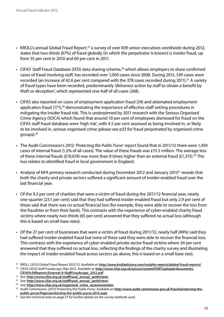- KROLL's annual Global Fraud Report,<sup>25</sup> a survey of over 839 senior executives worldwide during 2012, states that two-thirds (67%) of fraud globally (in which the perpetrator is known) is insider fraud, up from 55 per cent in 2010 and 60 per cent in 2011.
- CIFAS' Staff Fraud Database (SFD) data sharing scheme.<sup>26</sup> which allows employers to share confirmed cases of fraud involving staff, has recorded over 1,000 cases since 2008. During 2012, 539 cases were recorded (an increase of 42.6 per cent compared with the 378 cases recorded during 2011).<sup>27</sup> A variety of fraud types have been recorded, predominantly 'dishonest action by staff to obtain a benefit by theft or deception', which represented one-half of all cases (268).
- CIFAS also reported on cases of employment application fraud (34) and attempted employment application fraud (171),<sup>28</sup> demonstrating the importance of effective staff vetting procedures in mitigating the insider fraud risk. This is underpinned by 2011 research with the Serious Organised Crime Agency (SOCA) which found that around 10 per cent of employees dismissed for fraud on the CIFAS staff fraud database were 'high risk', with 4.5 per cent assessed as being involved in, or likely to be involved in, serious organised crime (please see p33 for fraud perpetrated by organised crime groups).29
- • The Audit Commission's 2012 *'Protecting the Public Purse'* report found that in 2011/12 there were 1,459 cases of internal fraud (1.2% of all cases). The value of these frauds was £15.5 million. The average loss of these internal frauds (£10,619) was more than 8 times higher than an external fraud (£1,315).<sup>30</sup> This loss relates to identified fraud in local government in England.
- Analysis of NFA primary research conducted during December 2012 and January 2013<sup>31</sup> reveals that both the charity and private sectors suffered a significant amount of insider-enabled fraud over the last financial year.
- Of the 9.2 per cent of charities that were a victim of fraud during the 2011/12 financial year, nearly one-quarter (23.1 per cent) said that they had suffered insider-enabled fraud but only 2.9 per cent of these said that there was no actual financial loss (for example, they were able to recover the loss from the fraudster or from their bank). This contrasts with the experience of cyber-enabled charity fraud victims where nearly two-thirds (65 per cent) answered that they suffered no actual loss (although this is based on small base sizes).
- Of the 27 per cent of businesses that were a victim of fraud during 2011/12, nearly half (49%) said they had suffered insider-enabled fraud but none of these said they were able to recover the financial loss. This contrasts with the experience of cyber-enabled private sector fraud victims where 34 per cent answered that they suffered no actual loss, reflecting the findings of the charity survey and illustrating the impact of insider-enabled fraud across sectors (as above, this is based on a small base size).

- <sup>27</sup> See: **[http://www.cifas.org.uk/stafffraud\\_annual\\_janthirteen](http://www.cifas.org.uk/stafffraud_annual_janthirteen)**
- <sup>28</sup> See: **[http://www.cifas.org.uk/stafffraud\\_annual\\_janthirteen](http://www.cifas.org.uk/stafffraud_annual_janthirteen)**

<sup>25</sup> KROLL (2012) Global Fraud Report 2012/13. Available at: **<http://www.krolladvisory.com/insights-reports/global-fraud-reports/>**

<sup>26</sup> CIFAS (2012) Staff Fraudscape, May 2012. Available at: **[http://www.cifas.org.uk/secure/contentPORT/uploads/documents/](http://www.cifas.org.uk/secure/contentPORT/uploads/documents/CIFAS%20Reports/External-0-StaffFraudscape_2012.pdf) [CIFAS%20Reports/External-0-StaffFraudscape\\_2012.pdf](http://www.cifas.org.uk/secure/contentPORT/uploads/documents/CIFAS%20Reports/External-0-StaffFraudscape_2012.pdf)**

<sup>29</sup> See: **[http://www.cifas.org.uk/organised\\_crime\\_sevennovember](http://www.cifas.org.uk/organised_crime_sevennovember)**

<sup>&</sup>lt;sup>30</sup> Audit Commission, (2012) Protecting the Public Purse. Available at: [http://www.audit-commission.gov.uk/fraud/protecting-the](http://www.audit-commission.gov.uk/fraud/protecting-the-public-purse/Pages/protecting-the-public-purse-2012.aspx)**[public-purse/Pages/protecting-the-public-purse-2012.aspx](http://www.audit-commission.gov.uk/fraud/protecting-the-public-purse/Pages/protecting-the-public-purse-2012.aspx)**

<sup>&</sup>lt;sup>31</sup> See the technical note on page 57 for further details on the survey methods used.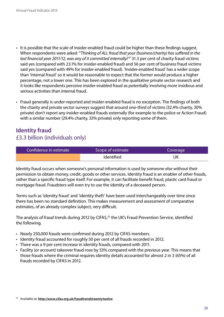- It is possible that the scale of insider-enabled fraud could be higher than these findings suggest. When respondents were asked *"'Thinking of ALL fraud that your (business/charity) has suffered in the last financial year 2011/12, was any of it committed internally?'"* 31.3 per cent of charity fraud victims said yes (compared with 23.1% for insider-enabled fraud) and 56 per cent of business fraud victims said yes (compared with 49% for insider-enabled fraud). 'Insider-enabled fraud' has a wider scope than 'internal fraud' so it would be reasonable to expect that the former would produce a higher percentage, not a lower one. This has been explored in the qualitative private sector research and it looks like respondents perceive insider-enabled fraud as potentially involving more insidious and serious activities than internal fraud.
- • Fraud generally is under-reported and insider-enabled fraud is no exception. The findings of both the charity and private sector surveys suggest that around one-third of victims (32.4% charity, 30% private) don't report any insider-enabled frauds externally (for example to the police or Action Fraud) with a similar number (29.4% charity, 33% private) only reporting some of them.

## <span id="page-29-0"></span>**Identity fraud** £3.3 billion (individuals only)

| Confidence in estimate | Scope of estimate | Coverage |
|------------------------|-------------------|----------|
|                        | <b>Identified</b> | UK       |

Identity fraud occurs when someone's personal information is used by someone else without their permission to obtain money, credit, goods or other services. Identity fraud is an enabler of other frauds, rather than a specific fraud type itself. For example, it can facilitate benefit fraud, plastic card fraud or mortgage fraud. Fraudsters will even try to use the identity of a deceased person.

Terms such as 'identity fraud' and 'identity theft' have been used interchangeably over time since there has been no standard definition. This makes measurement and assessment of comparative estimates, of an already complex subject, very difficult.

The analysis of fraud trends during 2012 by CIFAS,<sup>32</sup> the UK's Fraud Prevention Service, identified the following.

- Nearly 250,000 frauds were confirmed during 2012 by CIFAS members.
- Identity fraud accounted for roughly 50 per cent of all frauds recorded in 2012.
- There was a 9 per cent increase in identity frauds, compared with 2011.
- Facility (or account) takeover fraud rose by 53% compared with the previous year. This means that those frauds where the criminal requires identity details accounted for almost 2 in 3 (65%) of all frauds recorded by CIFAS in 2012.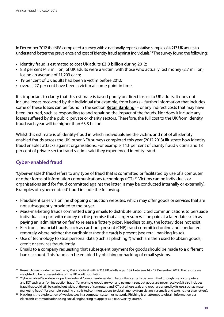In December 2012 the NFA completed a survey with a nationally representative sample of 4,213 UK adults to understand better the prevalence and cost of identity fraud against individuals.<sup>33</sup> The survey found the following:

- • identity fraud is estimated to cost UK adults **£3.3 billion** during 2012;
- • 8.8 per cent (4.3 million) of UK adults were a victim, with those who actually lost money (2.7 million) losing an average of £1,203 each;
- 19 per cent of UK adults had been a victim before 2012;
- overall, 27 per cent have been a victim at some point in time.

It is important to clarify that this estimate is based purely on direct losses to UK adults. It does not include losses recovered by the individual (for example, from banks – further information that includes some of these losses can be found in the section **Retail Banking**) – or any indirect costs that may have been incurred, such as responding to and repairing the impact of the frauds. Nor does it include any losses suffered by the public, private or charity sectors. Therefore, the full cost to the UK from identity fraud each year will be higher than £3.3 billion.

Whilst this estimate is of identity-fraud in which individuals are the victim, and not of all identity enabled frauds across the UK, other NFA surveys completed this year (2012-2013) illustrate how identity fraud enables attacks against organisations. For example, 14.1 per cent of charity fraud victims and 18 per cent of private sector fraud victims said they experienced identity fraud.

#### **Cyber-enabled fraud**

'Cyber-enabled' fraud refers to any type of fraud that is committed or facilitated by use of a computer or other forms of information communications technology (ICT).34 Victims can be individuals or organisations (and for fraud committed against the latter, it may be conducted internally or externally). Examples of 'cyber-enabled' fraud include the following.

- Fraudulent sales via online shopping or auction websites, which may offer goods or services that are not subsequently provided to the buyer.
- Mass-marketing frauds committed using emails to distribute unsolicited communications to persuade individuals to part with money on the premise that a larger sum will be paid at a later date, such as paying an 'administration fee' to release a 'lottery prize'. Needless to say, the lottery does not exist.
- Electronic financial frauds, such as card-not-present (CNP) fraud committed online and conducted remotely where neither the cardholder (nor the card) is present (see retail banking fraud).
- Use of technology to steal personal data (such as phishing<sup>35</sup>) which are then used to obtain goods, credit or services fraudulently.
- Emails to a company requesting that subsequent payment for goods should be made to a different bank account. This fraud can be enabled by phishing or hacking of email systems.

<sup>33</sup> Research was conducted online by Vision Critical with 4,213 UK adults aged 18+ between 14 – 17 December 2012. The results are weighted to be representative of the UK adult population.

<sup>&</sup>lt;sup>34</sup> 'Cyber-enabled' is wide in scope. It includes all 'computer-dependent' frauds that can only be committed through use of computers and ICT, such as an 'online auction fraud' (for example, goods are won and payment sent but goods are never received). It also includes fraud that could still be carried out without the use of computers and ICT but whose scale and reach are altered by its use, such as 'massmarketing fraud' (for example, sending unsolicited communications to obtain money from victims via emails and texts, rather than letters).

<sup>&</sup>lt;sup>35</sup> Hacking is the exploitation of weaknesses in a computer system or network. Phishing is an attempt to obtain information via electronic communication using social engineering to appear as a trustworthy source.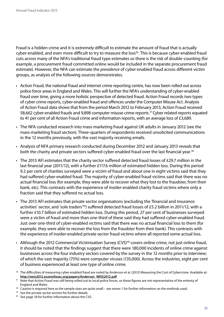Fraud is a hidden crime and it is extremely difficult to estimate the amount of fraud that is actually cyber-enabled, and even more difficult to try to measure the loss<sup>36</sup>. This is because cyber-enabled fraud cuts across many of the NFA's traditional fraud type estimates so there is the risk of double-counting (for example, a procurement fraud committed online would be included in the separate procurement fraud estimate). However, the NFA can estimate the *prevalence* of cyber-enabled fraud across different victim groups, as analysis of the following sources demonstrates.

- Action Fraud, the national fraud and internet crime reporting centre, has now been rolled out across police force areas in England and Wales. This will further the NFA's understanding of cyber-enabled fraud over time, giving a more holistic perspective of detected fraud. Action Fraud records two types of cyber crime reports, cyber-enabled fraud and offences under the Computer Misuse Act. Analysis of Action Fraud data shows that from the period March 2012 to February 2013, Action Fraud received 58,662 cyber-enabled frauds and 9,898 computer misuse crime reports.<sup>37</sup> Cyber related reports equated to 41 per cent of all Action Fraud crime and information reports, with an average loss of £3,689.
- The NFA conducted research into mass-marketing fraud against UK adults in January 2012 (see the mass-marketing fraud section). Three-quarters of respondents received unsolicited communications in the 12 months previously, with the vast majority receiving emails.
- Analysis of NFA primary research conducted during December 2012 and January 2013 reveals that both the charity and private sectors suffered cyber-enabled fraud over the last financial year.<sup>38</sup>
- • The 2013 AFI estimates that the charity sector suffered detected fraud losses of £29.7 million in the last financial year (2011/12), with a further £117.6 million of estimated hidden loss. During this period 9.2 per cent of charities surveyed were a victim of fraud and about one in eight victims said that they had suffered cyber-enabled fraud. The majority of cyber-enabled fraud victims said that there was no actual financial loss (for example, they were able to recover what they lost to the fraudster, from their bank, etc). This contrasts with the experience of insider-enabled charity fraud victims where only a fraction said that they suffered no actual loss.
- The 2013 AFI estimates that private sector organisations (excluding the 'financial and insurance activities' sector, and 'sole traders<sup>'39</sup>) suffered detected fraud losses of £5.2 billion in 2011/12, with a further £10.7 billion of estimated hidden loss. During this period, 27 per cent of businesses surveyed were a victim of fraud and more than one-third of these said they had suffered cyber-enabled fraud. Just over one-third of cyber-enabled victims said that there was no actual financial loss to them (for example, they were able to recover the loss from the fraudster from their bank). This contrasts with the experience of insider-enabled private sector fraud victims where all reported some actual loss.
- Although the 2012 Commercial Victimisation Survey (CVS)<sup>40</sup> covers online crime, not just online fraud, it should be noted that the findings suggest that there were 180,000 incidents of online crime against businesses across the four industry sectors covered by the survey in the 12 months prior to interview; of which the vast majority (75%) were computer viruses (135,000). Across the industries, eight per cent of business experienced at least one type of online crime.

- 38 Caution is required here as the sample sizes are quite small see annex 1 for further information on the methods used.
- <sup>39</sup> See the private sector section for further details.
- <sup>40</sup> See page 18 for further information about the CVS.

<sup>&</sup>lt;sup>36</sup> The difficulties of measuring cyber-enabled fraud are noted by Anderson et al. (2012) Measuring the Cost of Cybercrime. Available at: **[http://weis2012.econinfosec.org/papers/Anderson\\_WEIS2012.pdf](http://weis2012.econinfosec.org/papers/Anderson_WEIS2012.pdf)**

<sup>&</sup>lt;sup>37</sup> Note that Action Fraud was still being rolled out to local police forces, so these figures are not representative of the entirety of England and Wales.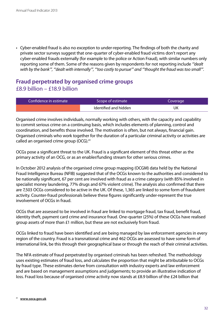• Cyber-enabled fraud is also no exception to under-reporting. The findings of both the charity and private sector surveys suggest that one-quarter of cyber-enabled fraud victims don't report any cyber-enabled frauds externally (for example to the police or Action Fraud), with similar numbers only reporting some of them. Some of the reasons given by respondents for not reporting include *"'dealt with by the bank'", "'dealt with internally'", "'too costly to pursue'" and "'thought the fraud was too small'"*.

## **Fraud perpetrated by organised crime groups** £8.9 billion – £18.9 billion

| Confidence in estimate | Scope of estimate     | Coverage |
|------------------------|-----------------------|----------|
|                        | Identified and hidden | JK       |

Organised crime involves individuals, normally working with others, with the capacity and capability to commit serious crime on a continuing basis, which includes elements of planning, control and coordination, and benefits those involved. The motivation is often, but not always, financial gain. Organised criminals who work together for the duration of a particular criminal activity or activities are called an organised crime group (OCG).<sup>41</sup>

OCGs pose a significant threat to the UK. Fraud is a significant element of this threat either as the primary activity of an OCG, or as an enabler/funding stream for other serious crimes.

In October 2012 analysis of the organised crime group mapping (OCGM) data held by the National Fraud Intelligence Bureau (NFIB) suggested that of the OCGs known to the authorities and considered to be nationally significant, 67 per cent are involved with fraud as a crime category (with 85% involved in specialist money laundering, 77% drugs and 67% violent crime). The analysis also confirmed that there are 7,503 OCGs considered to be active in the UK. Of these, 1,365 are linked to some form of fraudulent activity. Counter-fraud professionals believe these figures significantly under-represent the true involvement of OCGs in fraud.

OCGs that are assessed to be involved in fraud are linked to mortgage fraud, tax fraud, benefit fraud, identity theft, payment card crime and insurance fraud. One-quarter (25%) of these OCGs have realised group assets of more than £1 million, but these are not exclusively from fraud.

OCGs linked to fraud have been identified and are being managed by law enforcement agencies in every region of the country. Fraud is a transnational crime and 462 OCGs are assessed to have some form of international link, be this through their geographical base or through the reach of their criminal activities.

The NFA estimate of fraud perpetrated by organised criminals has been refreshed. The methodology uses existing estimates of fraud loss, and calculates the proportion that might be attributable to OCGs by fraud type. These estimates derive from consultation with industry experts and law enforcement and are based on management assumptions and judgements; to provide an illustrative indication of loss. Fraud loss because of organised crime activity now stands at £8.9 billion of the £24 billion that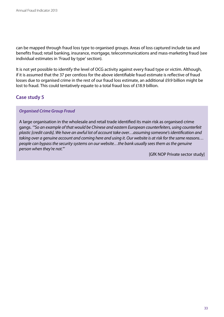can be mapped through fraud loss type to organised groups. Areas of loss captured include tax and benefits fraud; retail banking, insurance, mortgage, telecommunications and mass-marketing fraud (see individual estimates in 'Fraud by type' section).

It is not yet possible to identify the level of OCG activity against every fraud type or victim. Although, if it is assumed that the 37 per centloss for the above identifiable fraud estimate is reflective of fraud losses due to organised crime in the rest of our fraud loss estimate, an additional £9.9 billion might be lost to fraud. This could tentatively equate to a total fraud loss of £18.9 billion.

#### **Case study 5**

#### *Organised Crime Group Fraud*

A large organisation in the wholesale and retail trade identified its main risk as organised crime gangs. *'"So an example of that would be Chinese and eastern European counterfeiters, using counterfeit plastic [credit cards]. We have an awful lot of account take over…assuming someone's identification and taking over a genuine account and coming here and using it. Our website is at risk for the same reasons… people can bypass the security systems on our website…the bank usually sees them as the genuine person when they're not."'*

[GfK NOP Private sector study]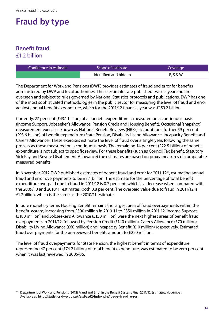## **Fraud by type**

## <span id="page-34-0"></span>**Benefit fraud** £1.2 billion

| Confidence in estimate | Scope of estimate     | Coverage |
|------------------------|-----------------------|----------|
|                        | Identified and hidden | E, S & W |

The Department for Work and Pensions (DWP) provides estimates of fraud and error for benefits administered by DWP and local authorities. These estimates are published twice a year and are overseen and subject to rules governed by National Statistics protocols and publications. DWP has one of the most sophisticated methodologies in the public sector for measuring the level of fraud and error against annual benefit expenditure, which for the 2011/12 financial year was £159.2 billion.

Currently, 27 per cent (£43.1 billion) of all benefit expenditure is measured on a continuous basis (Income Support, Jobseeker's Allowance, Pension Credit and Housing Benefit). Occasional 'snapshot' measurement exercises known as National Benefit Reviews (NBRs) account for a further 59 per cent (£93.6 billion) of benefit expenditure (State Pension, Disability Living Allowance, Incapacity Benefit and Carer's Allowance). These exercises estimate the level of fraud over a single year, following the same process as those measured on a continuous basis. The remaining 14 per cent (£22.5 billion) of benefit expenditure is not subject to specific review. For these benefits (such as Council Tax Benefit, Statutory Sick Pay and Severe Disablement Allowance) the estimates are based on proxy measures of comparable measured benefits.

In November 2012 DWP published estimates of benefit fraud and error for 2011-12<sup>42</sup>, estimating annual fraud and error overpayments to be £3.4 billion. The estimate for the percentage of total benefit expenditure overpaid due to fraud in 2011/12 is 0.7 per cent, which is a decrease when compared with the 2009/10 and 2010/11 estimates, both 0.8 per cent. The overpaid value due to fraud in 2011/12 is £1.2billion, which is the same as the 2010/11 estimate.

In pure monetary terms Housing Benefit remains the largest area of fraud overpayments within the benefit system, increasing from £300 million in 2010-11 to £350 million in 2011-12. Income Support (£180 million) and Jobseeker's Allowance (£150 million) were the next highest areas of benefit fraud overpayments in 2011/12, followed by Pension Credit (£140 million), Carer's Allowance (£70 million), Disability Living Allowance (£60 million) and Incapacity Benefit (£10 million) respectively. Estimated fraud overpayments for the un-reviewed benefits amount to £220 million.

The level of fraud overpayments for State Pension, the highest benefit in terms of expenditure representing 47 per cent (£74.2 billion) of total benefit expenditure, was estimated to be zero per cent when it was last reviewed in 2005/06.

<sup>42</sup> Department of Work and Pensions (2012) Fraud and Error in the Benefit System: Final 2011/12 Estimates, November. Available at: **[http://statistics.dwp.gov.uk/asd/asd2/index.php?page=fraud\\_error](http://statistics.dwp.gov.uk/asd/asd2/index.php?page=fraud_error)**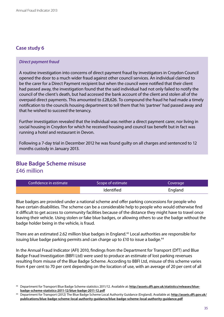#### *Direct payment fraud*

A routine investigation into concerns of direct payment fraud by investigators in Croydon Council opened the door to a much wider fraud against other council services. An individual claimed to be the carer for a Direct Payment recipient but when the council were notified that their client had passed away, the investigation found that the said individual had not only failed to notify the council of the client's death, but had accessed the bank account of the client and stolen all of the overpaid direct payments. This amounted to £28,626. To compound the fraud he had made a timely notification to the councils housing department to tell them that his 'partner' had passed away and that he wished to succeed the tenancy.

Further investigation revealed that the individual was neither a direct payment carer, nor living in social housing in Croydon for which he received housing and council tax benefit but in fact was running a hotel and restaurant in Devon.

Following a 7-day trial in December 2012 he was found guilty on all charges and sentenced to 12 months custody in January 2013.

### <span id="page-35-0"></span>**Blue Badge Scheme misuse** £46 million

| Confidence in estimate | Scope of estimate | Coverage |
|------------------------|-------------------|----------|
|                        | <b>Identified</b> | England  |

Blue badges are provided under a national scheme and offer parking concessions for people who have certain disabilities. The scheme can be a considerable help to people who would otherwise find it difficult to get access to community facilities because of the distance they might have to travel once leaving their vehicle. Using stolen or fake blue badges, or allowing others to use the badge without the badge holder being in the vehicle, is fraud.

There are an estimated 2.62 million blue badges in England.<sup>42</sup> Local authorities are responsible for issuing blue badge parking permits and can charge up to  $£10$  to issue a badge.<sup>44</sup>

In the Annual Fraud Indicator (AFI) 2010, findings from the Department for Transport (DfT) and Blue Badge Fraud Investigation (BBFI Ltd) were used to produce an estimate of lost parking revenues resulting from misuse of the Blue Badge Scheme. According to BBFI Ltd, misuse of this scheme varies from 4 per cent to 70 per cent depending on the location of use, with an average of 20 per cent of all

<sup>43</sup> Department for Transport Blue Badge Scheme statistics 2011/12. Available at: **[http://assets.dft.gov.uk/statistics/releases/blue](http://assets.dft.gov.uk/statistics/releases/blue-badge-scheme-statistics-2011-12/blue-badge-2011-12.pdf)[badge-scheme-statistics-2011-12/blue-badge-2011-12.pdf](http://assets.dft.gov.uk/statistics/releases/blue-badge-scheme-statistics-2011-12/blue-badge-2011-12.pdf)**

<sup>44</sup> Department for Transport (2012) The Blue Badge Scheme Local Authority Guidance (England). Available at: **[http://assets.dft.gov.uk/](http://assets.dft.gov.uk/publications/blue-badge-scheme-local-authority-guidance/blue-badge-scheme-local-authority-guidance.pdf) [publications/blue-badge-scheme-local-authority-guidance/blue-badge-scheme-local-authority-guidance.pdf](http://assets.dft.gov.uk/publications/blue-badge-scheme-local-authority-guidance/blue-badge-scheme-local-authority-guidance.pdf)**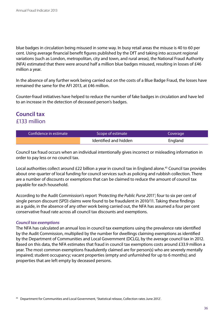blue badges in circulation being misused in some way. In busy retail areas the misuse is 40 to 60 per cent. Using average financial benefit figures published by the DfT and taking into account regional variations (such as London, metropolitan, city and town, and rural areas), the National Fraud Authority (NFA) estimated that there were around half a million blue badges misused, resulting in losses of £46 million a year.

In the absence of any further work being carried out on the costs of a Blue Badge Fraud, the losses have remained the same for the AFI 2013, at £46 million.

Counter-fraud initiatives have helped to reduce the number of fake badges in circulation and have led to an increase in the detection of deceased person's badges.

## <span id="page-36-0"></span>**Council tax** £133 million

| Confidence in estimate | Scope of estimate     | Coverage |
|------------------------|-----------------------|----------|
|                        | Identified and hidden | England  |

Council tax fraud occurs when an individual intentionally gives incorrect or misleading information in order to pay less or no council tax.

Local authorities collect around £22 billion a year in council tax in England alone.45 Council tax provides about one-quarter of local funding for council services such as policing and rubbish collection. There are a number of discounts or exemptions that can be claimed to reduce the amount of council tax payable for each household.

According to the Audit Commission's report *'Protecting the Public Purse 2011'*; four to six per cent of single person discount (SPD) claims were found to be fraudulent in 2010/11. Taking these findings as a guide, in the absence of any other work being carried out, the NFA has assumed a four per cent conservative fraud rate across all council tax discounts and exemptions.

#### *Council tax exemptions*

The NFA has calculated an annual loss in council tax exemptions using the prevalence rate identified by the Audit Commission, multiplied by the number for dwellings claiming exemptions as identified by the Department of Communities and Local Government (DCLG), by the average council tax in 2012. Based on this data, the NFA estimates that fraud in council tax exemptions costs around £33.9 million a year. The most common exemptions fraudulently claimed are for person(s) who are severely mentally impaired; student occupancy; vacant properties (empty and unfurnished for up to 6 months); and properties that are left empty by deceased persons.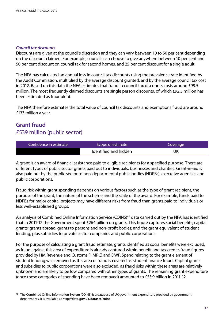#### *Council tax discounts*

Discounts are given at the council's discretion and they can vary between 10 to 50 per cent depending on the discount claimed. For example, councils can choose to give anywhere between 10 per cent and 50 per cent discount on council tax for second homes, and 25 per cent discount for a single adult.

The NFA has calculated an annual loss in council tax discounts using the prevalence rate identified by the Audit Commission, multiplied by the average discount granted, and by the average council tax cost in 2012. Based on this data the NFA estimates that fraud in council tax discounts costs around £99.5 million. The most frequently claimed discounts are single person discounts, of which £92.5 million has been estimated as fraudulent.

The NFA therefore estimates the total value of council tax discounts and exemptions fraud are around £133 million a year.

## <span id="page-37-0"></span>**Grant fraud**  £539 million (public sector)

| Confidence in estimate | Scope of estimate     | Coverage |
|------------------------|-----------------------|----------|
|                        | Identified and hidden | JK       |

A grant is an award of financial assistance paid to eligible recipients for a specified purpose. There are different types of public sector grants paid out to individuals, businesses and charities. Grant-in-aid is also paid out by the public sector to non-departmental public bodies (NDPBs), executive agencies and public corporations.

Fraud risk within grant spending depends on various factors such as the type of grant recipient, the purpose of the grant, the nature of the scheme and the scale of the award. For example, funds paid to NDPBs for major capital projects may have different risks from fraud than grants paid to individuals or less well-established groups.

An analysis of Combined Online Information Service (COINS)<sup>46</sup> data carried out by the NFA has identified that in 2011-12 the Government spent £264 billion on grants. This figure captures social benefits; capital grants; grants abroad; grants to persons and non-profit bodies; and the grant equivalent of student lending, plus subsidies to private sector companies and public corporations.

For the purpose of calculating a grant fraud estimate, grants identified as social benefits were excluded, as fraud against this area of expenditure is already captured within benefit and tax credits fraud figures provided by HM Revenue and Customs (HMRC) and DWP. Spend relating to the grant element of student lending was removed as this area of fraud is covered as 'student finance fraud'. Capital grants and subsidies to public corporations were also excluded, as fraud risks within these areas are relatively unknown and are likely to be low compared with other types of grants. The remaining grant expenditure (once these categories of spending have been removed) amounted to £53.9 billion in 2011-12.

<sup>46</sup> The Combined Online Information System (COINS) is a database of UK government expenditure provided by government departments. It is available at **<http://data.gov.uk/dataset/coins>**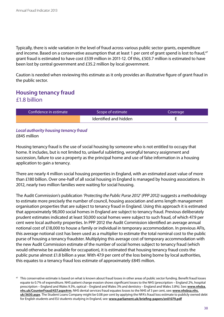Typically, there is wide variation in the level of fraud across various public sector grants, expenditure and income. Based on a conservative assumption that at least 1 per cent of grant spend is lost to fraud,<sup>47</sup> grant fraud is estimated to have cost £539 million in 2011-12. Of this, £503.7 million is estimated to have been lost by central government and £35.2 million by local government.

Caution is needed when reviewing this estimate as it only provides an illustrative figure of grant fraud in the public sector.

## <span id="page-38-0"></span>**Housing tenancy fraud** £1.8 billion

| Confidence in estimate | Scope of estimate     | Coverage |
|------------------------|-----------------------|----------|
|                        | Identified and hidden |          |

#### *Local authority housing tenancy fraud*  £845 million

Housing tenancy fraud is the use of social housing by someone who is not entitled to occupy that home. It includes, but is not limited to, unlawful subletting, wrongful tenancy assignment and succession, failure to use a property as the principal home and use of false information in a housing application to gain a tenancy.

There are nearly 4 million social housing properties in England, with an estimated asset value of more than £180 billion. Over one-half of all social housing in England is managed by housing associations. In 2012, nearly two million families were waiting for social housing.

The Audit Commission's publication *'Protecting the Public Purse 2012' (PPP 2012)* suggests a methodology to estimate more precisely the number of council, housing association and arms length management organisation properties that are subject to tenancy fraud in England. Using this approach it is estimated that approximately 98,000 social homes in England are subject to tenancy fraud. Previous deliberately prudent estimates indicated at least 50,000 social homes were subject to such fraud, of which 47.9 per cent were local authority properties. In PPP 2012 the Audit Commission identified an average annual notional cost of £18,000 to house a family or individual in temporary accommodation. In previous AFIs, this average notional cost has been used as a multiplier to estimate the total nominal cost to the public purse of housing a tenancy fraudster. Multiplying this average cost of temporary accommodation with the new Audit Commission estimate of the number of social homes subject to tenancy fraud (which would otherwise be available for occupation), it is estimated that housing tenancy fraud costs the public purse almost £1.8 billion a year. With 47.9 per cent of the loss being borne by local authorities, this equates to a tenancy fraud loss estimate of approximately £845 million.

<sup>&</sup>lt;sup>47</sup> This conservative estimate is based on what is known about fraud losses in other areas of public sector funding. Benefit fraud losses equate to 0.7% of expenditure. NHS patient charge evasion shows significant losses to the NHS (prescription – England 2%, hospital prescription – England and Wales 9.3%, optical – England and Wales 3% and dentistry – England and Wales 3.8%). See: **[www.nhsba.](www.nhsba.nhs.uk/CounterFraud/437.aspx#rm) [nhs.uk/CounterFraud/437.aspx#rm](www.nhsba.nhs.uk/CounterFraud/437.aspx#rm)**. NHS dental services fraud equates losses to the NHS of 3 per cent, see: **[www.nhsbsa.nhs.](www.nhsbsa.nhs.uk/3630.aspx) [uk/3630.aspx](www.nhsbsa.nhs.uk/3630.aspx)**. The Student Loans Company might be 0.08 per cent by applying the NFA's fraud loss estimate to publicly owned debt for English students and EU students studying in England, see: **<www.parliament.uk/briefing-papers/sn01079.pdf>**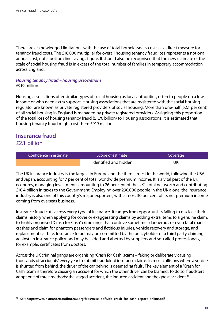There are acknowledged limitations with the use of total homelessness costs as a direct measure for tenancy fraud costs. The £18,000 multiplier for overall housing tenancy fraud loss represents a notional annual cost, not a bottom line savings figure. It should also be recognised that the new estimate of the scale of social housing fraud is in excess of the total number of families in temporary accommodation across England.

#### *Housing tenancy fraud – housing associations* £919 million

Housing associations offer similar types of social housing as local authorities, often to people on a low income or who need extra support. Housing associations that are registered with the social housing regulator are known as private registered providers of social housing. More than one-half (52.1 per cent) of all social housing in England is managed by private registered providers. Assigning this proportion of the total loss of housing tenancy fraud (£1.76 billion) to Housing associations, it is estimated that housing tenancy fraud might cost them £919 million.

## **Insurance fraud**  £2.1 billion

| Confidence in estimate | Scope of estimate     | Coverage |
|------------------------|-----------------------|----------|
|                        | Identified and hidden | UK       |

The UK insurance industry is the largest in Europe and the third largest in the world, following the USA and Japan, accounting for 7 per cent of total worldwide premium income. It is a vital part of the UK economy, managing investments amounting to 26 per cent of the UK's total net worth and contributing £10.4 billion in taxes to the Government. Employing over 290,000 people in the UK alone, the insurance industry is also one of this country's major exporters, with almost 30 per cent of its net premium income coming from overseas business.

Insurance fraud cuts across every type of insurance. It ranges from opportunists failing to disclose their claims history when applying for cover or exaggerating claims by adding extra items to a genuine claim, to highly organised 'Crash for Cash' crime rings that contrive sometimes dangerous or even fatal road crashes and claim for phantom passengers and fictitious injuries, vehicle recovery and storage, and replacement car hire. Insurance fraud may be committed by the policyholder or a third party claiming against an insurance policy, and may be aided and abetted by suppliers and so-called professionals, for example, certificates from doctors.

Across the UK criminal gangs are organising 'Crash for Cash' scams – faking or deliberately causing thousands of 'accidents' every year to submit fraudulent insurance claims. In most collisions where a vehicle is shunted from behind, the driver of the car behind is deemed 'at fault'. The key element of a 'Crash for Cash' scam is therefore causing an accident for which the other driver can be blamed. To do so, fraudsters adopt one of three methods: the staged accident, the induced accident and the ghost accident.<sup>48</sup>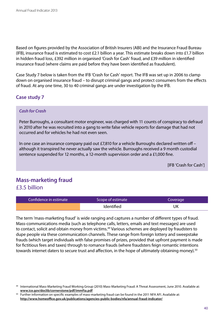Based on figures provided by the Association of British Insurers (ABI) and the Insurance Fraud Bureau (IFB), insurance fraud is estimated to cost £2.1 billion a year. This estimate breaks down into £1.7 billion in hidden fraud loss, £392 million in organised 'Crash for Cash' fraud, and £39 million in identified insurance fraud (where claims are paid before they have been identified as fraudulent).

Case Study 7 below is taken from the IFB 'Crash for Cash' report. The IFB was set up in 2006 to clamp down on organised insurance fraud – to disrupt criminal gangs and protect consumers from the effects of fraud. At any one time, 30 to 40 criminal gangs are under investigation by the IFB.

#### **Case study 7**

#### *Cash for Crash*

Peter Burroughs, a consultant motor engineer, was charged with 11 counts of conspiracy to defraud in 2010 after he was recruited into a gang to write false vehicle reports for damage that had not occurred and for vehicles he had not even seen.

In one case an insurance company paid out £7,810 for a vehicle Burroughs declared written off – although it transpired he never actually saw the vehicle. Burroughs received a 9 month custodial sentence suspended for 12 months, a 12-month supervision order and a £1,000 fine.

[IFB 'Crash for Cash']

## <span id="page-40-0"></span>**Mass-marketing fraud** £3.5 billion

| Confidence in estimate | Scope of estimate | Coverage |
|------------------------|-------------------|----------|
|                        | <b>Identified</b> | UK       |

The term 'mass-marketing fraud' is wide ranging and captures a number of different types of fraud. Mass-communications media (such as telephone calls, letters, emails and text messages) are used to contact, solicit and obtain money from victims.<sup>49</sup> Various schemes are deployed by fraudsters to dupe people via these communication channels. These range from foreign lottery and sweepstake frauds (which target individuals with false promises of prizes, provided that upfront payment is made for fictitious fees and taxes) through to romance frauds (where fraudsters feign romantic intentions towards internet daters to secure trust and affection, in the hope of ultimately obtaining money).<sup>50</sup>

<sup>49</sup> International Mass-Marketing Fraud Working Group (2010) Mass-Marketing Fraud: A Threat Assessment, June 2010. Available at: **<www.ice.gov/doclib/cornerstone/pdf/immfta.pdf>**

<sup>&</sup>lt;sup>50</sup> Further information on specific examples of mass-marketing fraud can be found in the 2011 NFA AFI. Available at: **<http://www.homeoffice.gov.uk/publications/agencies-public-bodies/nfa/annual-fraud-indicator/>**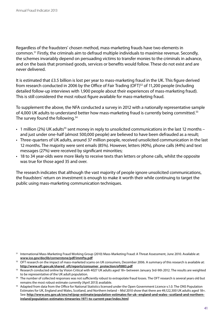Regardless of the fraudsters' chosen method, mass-marketing frauds have two elements in common.51 Firstly, the criminals aim to defraud multiple individuals to maximise revenue. Secondly, the schemes invariably depend on persuading victims to transfer monies to the criminals in advance, and on the basis that promised goods, services or benefits would follow. These do not exist and are never delivered.

It is estimated that £3.5 billion is lost per year to mass-marketing fraud in the UK. This figure derived from research conducted in 2006 by the Office of Fair Trading (OFT)<sup>52</sup> of 11,200 people (including detailed follow-up interviews with 1,900 people about their experiences of mass-marketing fraud). This is still considered the most robust figure available for mass-marketing fraud.

To supplement the above, the NFA conducted a survey in 2012 with a nationally representative sample of 4,000 UK adults to understand better how mass-marketing fraud is currently being committed.<sup>53</sup> The survey found the following.<sup>54</sup>

- 1 million (2%) UK adults<sup>55</sup> sent money in reply to unsolicited communications in the last 12 months and just under one-half (almost 500,000 people) are believed to have been defrauded as a result;
- Three-quarters of UK adults, around 37 million people, received unsolicited communication in the last 12 months. The majority were sent emails (85%). However, letters (40%), phone calls (44%) and text messages (27%) were received by significant minorities;
- 18 to 34 year-olds were more likely to receive texts than letters or phone calls, whilst the opposite was true for those aged 35 and over.

The research indicates that although the vast majority of people ignore unsolicited communications, the fraudsters' return on investment is enough to make it worth their while continuing to target the public using mass-marketing communication techniques.

<sup>51</sup> International Mass-Marketing Fraud Working Group (2010) Mass-Marketing Fraud: A Threat Assessment, June 2010. Available at: **<www.ice.gov/doclib/cornerstone/pdf/immfta.pdf>**

<sup>&</sup>lt;sup>52</sup> OFT research on the impact of mass-marketed scams on UK consumers, December 2006. A summary of this research is available at: **[http://www.oft.gov.uk/shared\\_oft/reports/consumer\\_protection/oft883.pdf](http://www.oft.gov.uk/shared_oft/reports/consumer_protection/oft883.pdf)**

<sup>53</sup> Research conducted online by Vision Critical with 4027 UK adults aged 18+ between January 3rd-9th 2012. The results are weighted to be representative of the UK adult population.

<sup>&</sup>lt;sup>54</sup> The number of collected responses was not sufficiently robust to extrapolate fraud losses. The OFT research is several years old but remains the most robust estimate currently (April 2013) available.

<sup>&</sup>lt;sup>55</sup> Adapted from data from the Office for National Statistics licensed under the Open Government Licence v.1.0. The ONS Population Estimates for UK, England and Wales, Scotland, and Northern Ireland – Mid 2010 show that there are 49,122,300 UK adults aged 18+. See: **[http://www.ons.gov.uk/ons/rel/pop-estimate/population-estimates-for-uk--england-and-wales--scotland-and-northern](http://www.ons.gov.uk/ons/rel/pop-estimate/population-estimates-for-uk--england-and-wales--scotland-and-northern-ireland/population-estimates-timeseries-1971-to-current-year/index.html)[ireland/population-estimates-timeseries-1971-to-current-year/index.html](http://www.ons.gov.uk/ons/rel/pop-estimate/population-estimates-for-uk--england-and-wales--scotland-and-northern-ireland/population-estimates-timeseries-1971-to-current-year/index.html)**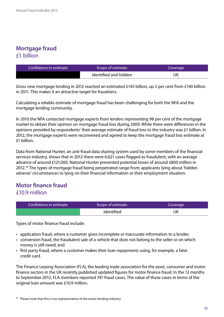## **Mortgage fraud** £1 billion

| Confidence in estimate | Scope of estimate     | Coverage |
|------------------------|-----------------------|----------|
|                        | Identified and hidden | UK       |

Gross new mortgage lending in 2012 reached an estimated £143 billion, up 2 per cent from £140 billion in 2011. This makes it an attractive target for fraudsters.

Calculating a reliable estimate of mortgage fraud has been challenging for both the NFA and the mortgage lending community.

In 2010 the NFA contacted mortgage experts from lenders representing 98 per cent of the mortgage market to obtain their opinion on mortgage fraud loss during 2009. While there were differences in the opinions provided by respondents' their average estimate of fraud loss to the industry was £1 billion. In 2012, the mortgage experts were reconvened and agreed to keep the mortgage fraud loss estimate at £1 billion.

Data from National Hunter, an anti-fraud data sharing system used by some members of the financial services industry, shows that in 2012 there were 6,621 cases flagged as fraudulent, with an average advance of around £121,000. National Hunter prevented potential losses of around £800 million in 2012.56 The types of mortgage fraud being perpetrated range from; applicants lying about 'hidden adverse' circumstances to lying on their financial information or their employment situation.

### **Motor finance fraud** £10.9 million

| Confidence in estimate | Scope of estimate | Coverage |
|------------------------|-------------------|----------|
|                        | <b>Identified</b> | UK       |

Types of motor finance fraud include:

- application fraud, where a customer gives incomplete or inaccurate information to a lender;
- conversion fraud, the fraudulent sale of a vehicle that does not belong to the seller or on which money is still owed; and
- first party fraud, where a customer makes their loan repayments using, for example, a false credit card.

The Finance Leasing Association (FLA), the leading trade association for the asset, consumer and motor finance sectors in the UK recently published updated figures for motor finance fraud. In the 12 months to September 2012, FLA members reported 747 fraud cases. The value of these cases in terms of the original loan amount was £10.9 million.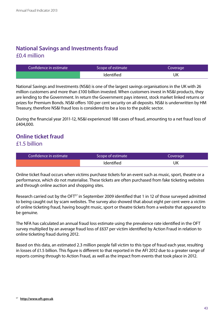## **National Savings and Investments fraud**  £0.4 million

| Confidence in estimate | Scope of estimate | Coverage |
|------------------------|-------------------|----------|
|                        | Identified        | UK       |

National Savings and Investments (NS&I) is one of the largest savings organisations in the UK with 26 million customers and more than £100 billion invested. When customers invest in NS&I products, they are lending to the Government. In return the Government pays interest, stock market linked returns or prizes for Premium Bonds. NS&I offers 100 per cent security on all deposits. NS&I is underwritten by HM Treasury, therefore NS&I fraud loss is considered to be a loss to the public sector.

During the financial year 2011-12, NS&I experienced 188 cases of fraud, amounting to a net fraud loss of £404,000.

## **Online ticket fraud** £1.5 billion

| Confidence in estimate | Scope of estimate | Coverage |
|------------------------|-------------------|----------|
|                        | <b>Identified</b> | UK       |

Online ticket fraud occurs when victims purchase tickets for an event such as music, sport, theatre or a performance, which do not materialise. These tickets are often purchased from fake ticketing websites and through online auction and shopping sites.

Research carried out by the OFT<sup>57</sup> in September 2009 identified that 1 in 12 of those surveyed admitted to being caught out by scam websites. The survey also showed that about eight per cent were a victim of online ticketing fraud, having bought music, sport or theatre tickets from a website that appeared to be genuine.

The NFA has calculated an annual fraud loss estimate using the prevalence rate identified in the OFT survey multiplied by an average fraud loss of £637 per victim identified by Action Fraud in relation to online ticketing fraud during 2012.

Based on this data, an estimated 2.3 million people fall victim to this type of fraud each year, resulting in losses of £1.5 billion. This figure is different to that reported in the AFI 2012 due to a greater range of reports coming through to Action Fraud, as well as the impact from events that took place in 2012.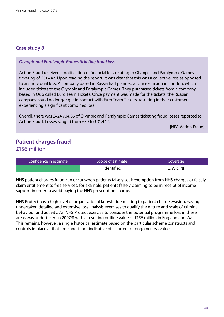#### *Olympic and Paralympic Games ticketing fraud loss*

Action Fraud received a notification of financial loss relating to Olympic and Paralympic Games ticketing of £31,442. Upon reading the report, it was clear that this was a collective loss as opposed to an individual loss. A company based in Russia had planned a tour excursion in London, which included tickets to the Olympic and Paralympic Games. They purchased tickets from a company based in Oslo called Euro Team Tickets. Once payment was made for the tickets, the Russian company could no longer get in contact with Euro Team Tickets, resulting in their customers experiencing a significant combined loss.

Overall, there was £424,704.85 of Olympic and Paralympic Games ticketing fraud losses reported to Action Fraud. Losses ranged from £30 to £31,442.

[NFA Action Fraud]

## **Patient charges fraud**  £156 million

| Confidence in estimate | Scope of estimate | Coverage  |
|------------------------|-------------------|-----------|
|                        | <b>Identified</b> | E, W & NI |

NHS patient charges fraud can occur when patients falsely seek exemption from NHS charges or falsely claim entitlement to free services, for example, patients falsely claiming to be in receipt of income support in order to avoid paying the NHS prescription charge.

NHS Protect has a high level of organisational knowledge relating to patient charge evasion, having undertaken detailed and extensive loss analysis exercises to qualify the nature and scale of criminal behaviour and activity. An NHS Protect exercise to consider the potential programme loss in these areas was undertaken in 2007/8 with a resulting outline value of £156 million in England and Wales. This remains, however, a single historical estimate based on the particular scheme constructs and controls in place at that time and is not indicative of a current or ongoing loss value.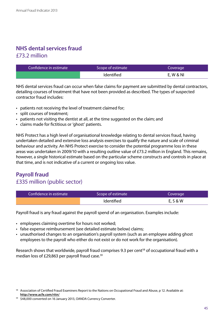## **NHS dental services fraud**  £73.2 million

| Confidence in estimate | Scope of estimate | Coverage  |
|------------------------|-------------------|-----------|
|                        | <b>Identified</b> | E, W & NI |

NHS dental services fraud can occur when false claims for payment are submitted by dental contractors, detailing courses of treatment that have not been provided as described. The types of suspected contractor fraud includes:

- patients not receiving the level of treatment claimed for;
- split courses of treatment;
- patients not visiting the dentist at all, at the time suggested on the claim; and
- • claims made for fictitious or 'ghost' patients.

NHS Protect has a high level of organisational knowledge relating to dental services fraud, having undertaken detailed and extensive loss analysis exercises to qualify the nature and scale of criminal behaviour and activity. An NHS Protect exercise to consider the potential programme loss in these areas was undertaken in 2009/10 with a resulting outline value of £73.2 million in England. This remains, however, a single historical estimate based on the particular scheme constructs and controls in place at that time, and is not indicative of a current or ongoing loss value.

## **Payroll fraud** £335 million (public sector)

| Confidence in estimate | Scope of estimate | Coverage |
|------------------------|-------------------|----------|
|                        | <b>Identified</b> | E, S & W |

Payroll fraud is any fraud against the payroll spend of an organisation. Examples include:

- employees claiming overtime for hours not worked;
- false expense reimbursement (see detailed estimate below) claims;
- unauthorised changes to an organisation's payroll system (such as an employee adding ghost employees to the payroll who either do not exist or do not work for the organisation).

Research shows that worldwide, payroll fraud comprises 9.3 per cent<sup>58</sup> of occupational fraud with a median loss of £29,863 per payroll fraud case.<sup>59</sup>

<sup>&</sup>lt;sup>58</sup> Association of Certified Fraud Examiners Report to the Nations on Occupational Fraud and Abuse, p 12. Available at: **<http://www.acfe.com/rttn/>**

<sup>59 \$48,000</sup> converted on 16 January 2013, OANDA Currency Converter.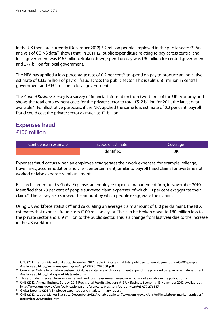In the UK there are currently (December 2012) 5.7 million people employed in the public sector<sup>60</sup>. An analysis of COINS data<sup>61</sup> shows that, in 2011-12, public expenditure relating to pay across central and local government was £167 billion. Broken down, spend on pay was £90 billion for central government and £77 billion for local government.

The NFA has applied a loss percentage rate of 0.2 per cent $62$  to spend on pay to produce an indicative estimate of £335 million of payroll fraud across the public sector. This is split £181 million in central government and £154 million in local government.

The *Annual Business Survey* is a survey of financial information from two-thirds of the UK economy and shows the total employment costs for the private sector to total £512 billion for 2011, the latest data available.63 For illustrative purposes, if the NFA applied the same loss estimate of 0.2 per cent, payroll fraud could cost the private sector as much as £1 billion.

## **Expenses fraud** £100 million

| Confidence in estimate | Scope of estimate | Coverage |
|------------------------|-------------------|----------|
|                        | <b>Identified</b> | UK       |

Expenses fraud occurs when an employee exaggerates their work expenses, for example, mileage, travel fares, accommodation and client entertainment, similar to payroll fraud claims for overtime not worked or false expense reimbursement.

Research carried out by GlobalExpense, an employee expense management firm, in November 2010 identified that 28 per cent of people surveyed claim expenses, of which 10 per cent exaggerate their claim.64 The survey also showed the amount by which people exaggerate their claims.

Using UK workforce statistics<sup>65</sup> and calculating an average claim amount of £10 per claimant, the NFA estimates that expense fraud costs £100 million a year. This can be broken down to £80 million loss to the private sector and £19 million to the public sector. This is a change from last year due to the increase in the UK workforce.

<sup>60</sup> ONS (2012) Labour Market Statistics, December 2012. Table 4(1) states that total public sector employment is 5,745,000 people. Available at: **[http://www.ons.gov.uk/ons/dcp171778\\_287888.pdf](http://www.ons.gov.uk/ons/dcp171778_287888.pdf)**

<sup>&</sup>lt;sup>61</sup> Combined Online Information System (COINS) is a database of UK government expenditure provided by government departments. Available at: **<http://data.gov.uk/dataset/coins>**

<sup>&</sup>lt;sup>62</sup> This estimate is derived from an illustrative fraud loss measurement exercise, which is not available in the public domain.

<sup>63</sup> ONS (2012) Annual Business Survey, 2011 Provisional Results', Sections A-S UK Business Economy, 15 November 2012. Available at: **<http://www.ons.gov.uk/ons/publications/re-reference-tables.html?edition=tcm%3A77-276587>**

<sup>&</sup>lt;sup>64</sup> GlobalExpense (2011): Employee expenses benchmark summary report for the statistics on Statistics, December 2012. Available at: [http://www.ons.gov.uk/ons/rel/lms/labour-market-statistics/](http://www.ons.gov.uk/ons/rel/lms/labour-market-statistics/december-2012/index.html) **[december-2012/index.html](http://www.ons.gov.uk/ons/rel/lms/labour-market-statistics/december-2012/index.html)**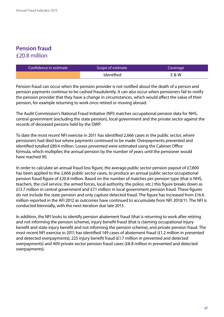## **Pension fraud** £20.8 million

| Confidence in estimate | Scope of estimate | Coverage |
|------------------------|-------------------|----------|
|                        | <b>Identified</b> | E & W    |

Pension fraud can occur when the pension provider is not notified about the death of a person and pension payments continue to be cashed fraudulently. It can also occur when pensioners fail to notify the pension provider that they have a change in circumstances, which would affect the value of their pension, for example returning to work once retired or moving abroad.

The Audit Commission's National Fraud Initiative (NFI) matches occupational pension data for NHS, central government (excluding the state pension), local government and the private sector against the records of deceased persons held by the DWP.

To date the most recent NFI exercise in 2011 has identified 2,666 cases in the public sector, where pensioners had died but where payments continued to be made. Overpayments prevented and identified totalled £89.4 million. Losses prevented were estimated using the Cabinet Office formula, which multiplies the annual pension by the number of years until the pensioner would have reached 90.

In order to calculate an annual fraud loss figure, the average public sector pension payout of £7,800 has been applied to the 2,666 public sector cases, to produce an annual public sector occupational pension fraud figure of £20.8 million. Based on the number of matches per pension type (that is NHS, teachers, the civil service, the armed forces, local authority, the police, etc.) this figure breaks down as £13.7 million in central government and £7.1 million in local government pension fraud. These figures do not include the state pension and only capture detected fraud. The figure has increased from £16.6 million reported in the AFI 2012 as outcomes have continued to accumulate from NFI 2010/11. The NFI is conducted biennially, with the next iteration due late 2013.

In addition, the NFI looks to identify pension abatement fraud (that is returning to work after retiring and not informing the pension scheme), injury benefit fraud (that is claiming occupational injury benefit and state injury benefit and not informing the pension scheme), and private pension fraud. The most recent NFI exercise in 2011 has identified 149 cases of abatement fraud (£1.2 million in prevented and detected overpayments), 225 injury benefit fraud (£1.7 million in prevented and detected overpayments) and 409 private sector pension fraud cases (£8.8 million in prevented and detected overpayments).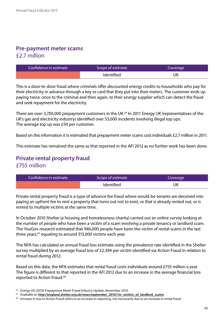## **Pre-payment meter scams**  £2.7 million

| Confidence in estimate | Scope of estimate | Coverage |
|------------------------|-------------------|----------|
|                        | <b>Identified</b> | UK       |

This is a door-to-door fraud where criminals offer discounted energy credits to households who pay for their electricity in advance through a key or card that they put into their meters. The customer ends up paying twice: once to the criminal and then again, to their energy supplier which can detect the fraud and seek repayment for the electricity.

There are over 3,700,000 prepayment customers in the UK.<sup>66</sup> In 2011 Energy UK (representatives of the UK's gas and electricity industry) identified over 53,000 incidents involving illegal top ups. The average top up was £50 per customer.

Based on this information it is estimated that prepayment meter scams cost individuals £2.7 million in 2011.

This estimate has remained the same as that reported in the AFI 2012 as no further work has been done.

## **Private rental property fraud** £755 million

| Confidence in estimate | Scope of estimate | Coverage |
|------------------------|-------------------|----------|
|                        | <b>Identified</b> | UK       |

Private rental property fraud is a type of advance fee fraud where would-be tenants are deceived into paying an upfront fee to rent a property that turns out not to exist, or that is already rented out, or is rented to multiple victims at the same time.

In October 2010 Shelter (a housing and homelessness charity) carried out an online survey looking at the number of people who have been a victim of a scam involving a private tenancy or landlord scam. The YouGov research estimated that 946,000 people have been the victim of rental scams in the last three years, $67$  equating to around 315,000 victims each year.

The NFA has calculated an annual fraud loss estimate using the prevalence rate identified in the Shelter survey multiplied by an average fraud loss of £2,394 per victim identified via Action Fraud in relation to rental fraud during 2012.

Based on this data, the NFA estimates that rental fraud costs individuals around £755 million a year. The figure is different to that reported in the AFI 2012 due to an increase in the average financial loss reported to Action Fraud.<sup>68</sup>

<sup>&</sup>lt;sup>66</sup> Energy UK (2010) Prepayment Meter Fraud Industry Update, November 2010.

<sup>&</sup>lt;sup>67</sup> Available at: [http://england.shelter.org.uk/news/september\\_2010/1m\\_victims\\_of\\_landlord\\_scams](http://england.shelter.org.uk/news/september_2010/1m_victims_of_landlord_scams)

<sup>&</sup>lt;sup>68</sup> Increase in loss to Action Fraud refers to an increase in reporting, not necessarily due to an increase in rental fraud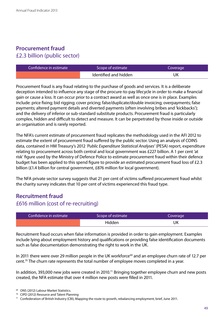## **Procurement fraud** £2.3 billion (public sector)

| Confidence in estimate | Scope of estimate     | Coverage |
|------------------------|-----------------------|----------|
|                        | Identified and hidden | UK       |

Procurement fraud is any fraud relating to the purchase of goods and services. It is a deliberate deception intended to influence any stage of the procure-to-pay lifecycle in order to make a financial gain or cause a loss. It can occur prior to a contract award as well as once one is in place. Examples include: price fixing; bid rigging; cover pricing; false/duplicate/double invoicing; overpayments; false payments; altered payment details and diverted payments (often involving bribes and 'kickbacks'); and the delivery of inferior or sub-standard substitute products. Procurement fraud is particularly complex, hidden and difficult to detect and measure. It can be perpetrated by those inside or outside an organisation and is rarely reported.

The NFA's current estimate of procurement fraud replicates the methodology used in the AFI 2012 to estimate the extent of procurement fraud suffered by the public sector. Using an analysis of COINS data, contained in HM Treasury's 2012 *'Public Expenditure Statistical Analyses'* (PESA) report, expenditure relating to procurement across both central and local government was £227 billion. A 1 per cent 'at risk' figure used by the Ministry of Defence Police to estimate procurement fraud within their defence budget has been applied to this spend figure to provide an estimated procurement fraud loss of £2.3 billion (£1.4 billion for central government, £876 million for local government).

The NFA private sector survey suggests that 21 per cent of victims suffered procurement fraud whilst the charity survey indicates that 10 per cent of victims experienced this fraud type.

### **Recruitment fraud** £616 million (cost of re-recruiting)

| Confidence in estimate | Scope of estimate | Coverage |
|------------------------|-------------------|----------|
|                        | Hidden            | UK       |

Recruitment fraud occurs when false information is provided in order to gain employment. Examples include lying about employment history and qualifications or providing false identification documents such as false documentation demonstrating the right to work in the UK.

In 2011 there were over 29 million people in the UK workforce<sup>69</sup> and an employee churn rate of 12.7 per cent.<sup>70</sup> The churn rate represents the total number of employee moves completed in a year.

In addition, 393,000 new jobs were created in 2010.<sup>71</sup> Bringing together employee churn and new posts created, the NFA estimate that over 4 million new posts were filled in 2011.

<sup>71</sup> Confederation of British Industry (CBI), Mapping the route to growth, rebalancing employment, brief, June 2011.

<sup>69</sup> ONS (2012) Labour Market Statistics.

<sup>70</sup> CIPD (2012) Resource and Talent Planning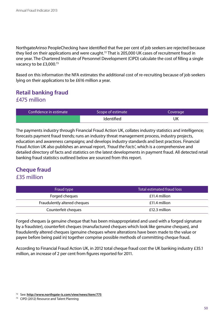NorthgateArinso PeopleChecking have identified that five per cent of job seekers are rejected because they lied on their applications and were caught.<sup>72</sup> That is 205,000 UK cases of recruitment fraud in one year. The Chartered Institute of Personnel Development (CIPD) calculate the cost of filling a single vacancy to be £3,000.73

Based on this information the NFA estimates the additional cost of re-recruiting because of job seekers lying on their applications to be £616 million a year.

## **Retail banking fraud**  £475 million

| Confidence in estimate | Scope of estimate | Coverage |
|------------------------|-------------------|----------|
|                        | Identified        | UK       |

The payments industry through Financial Fraud Action UK, collates industry statistics and intelligence; forecasts payment fraud trends; runs an industry threat management process, industry projects, education and awareness campaigns; and develops industry standards and best practices. Financial Fraud Action UK also publishes an annual report, *'Fraud the Facts'*, which is a comprehensive and detailed directory of facts and statistics on the latest developments in payment fraud. All detected retail banking fraud statistics outlined below are sourced from this report.

## **Cheque fraud** £35 million

| Fraud type                   | Total estimated fraud loss |
|------------------------------|----------------------------|
| Forged cheques               | £11.4 million              |
| Fraudulently altered cheques | £11.4 million              |
| Counterfeit cheques          | £12.3 million              |

Forged cheques (a genuine cheque that has been misappropriated and used with a forged signature by a fraudster), counterfeit cheques (manufactured cheques which look like genuine cheques), and fraudulently altered cheques (genuine cheques where alterations have been made to the value or payee before being paid in) together comprise possible methods of committing cheque fraud.

According to Financial Fraud Action UK, in 2012 total cheque fraud cost the UK banking industry £35.1 million, an increase of 2 per cent from figures reported for 2011.

<sup>72</sup> See: **<http://www.northgate-is.com/view/news/item/775>**

<sup>73</sup> CIPD (2012) Resource and Talent Planning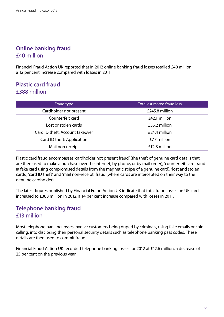## **Online banking fraud** £40 million

Financial Fraud Action UK reported that in 2012 online banking fraud losses totalled £40 million; a 12 per cent increase compared with losses in 2011.

## **Plastic card fraud** £388 million

| Fraud type                      | <b>Total estimated fraud loss</b> |  |
|---------------------------------|-----------------------------------|--|
| Cardholder not present          | £245.8 million                    |  |
| Counterfeit card                | £42.1 million                     |  |
| Lost or stolen cards            | £55.2 million                     |  |
| Card ID theft: Account takeover | £24.4 million                     |  |
| Card ID theft: Application      | £7.7 million                      |  |
| Mail non receipt                | £12.8 million                     |  |

Plastic card fraud encompasses 'cardholder not present fraud' (the theft of genuine card details that are then used to make a purchase over the internet, by phone, or by mail order), 'counterfeit card fraud' (a fake card using compromised details from the magnetic stripe of a genuine card), 'lost and stolen cards', 'card ID theft' and 'mail non-receipt' fraud (where cards are intercepted on their way to the genuine cardholder).

The latest figures published by Financial Fraud Action UK indicate that total fraud losses on UK cards increased to £388 million in 2012, a 14 per cent increase compared with losses in 2011.

## **Telephone banking fraud** £13 million

Most telephone banking losses involve customers being duped by criminals, using fake emails or cold calling, into disclosing their personal security details such as telephone banking pass codes. These details are then used to commit fraud.

Financial Fraud Action UK recorded telephone banking losses for 2012 at £12.6 million, a decrease of 25 per cent on the previous year.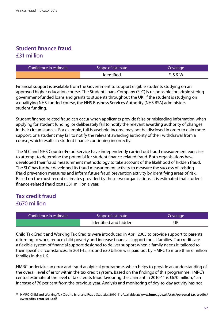## **Student finance fraud** £31 million

| Confidence in estimate | Scope of estimate | Coverage |
|------------------------|-------------------|----------|
|                        | <b>Identified</b> | E, S & W |

Financial support is available from the Government to support eligible students studying on an approved higher education course. The Student Loans Company (SLC) is responsible for administering government-funded loans and grants to students throughout the UK. If the student is studying on a qualifying NHS-funded course, the NHS Business Services Authority (NHS BSA) administers student funding.

Student finance-related fraud can occur when applicants provide false or misleading information when applying for student funding, or deliberately fail to notify the relevant awarding authority of changes in their circumstances. For example, full household income may not be disclosed in order to gain more support, or a student may fail to notify the relevant awarding authority of their withdrawal from a course, which results in student finance continuing incorrectly.

The SLC and NHS Counter-Fraud Service have independently carried out fraud measurement exercises to attempt to determine the potential for student finance-related fraud. Both organisations have developed their fraud measurement methodology to take account of the likelihood of hidden fraud. The SLC has further developed its fraud measurement activity to measure the success of existing fraud prevention measures and inform future fraud prevention activity by identifying areas of risk. Based on the most recent estimates provided by these two organisations, it is estimated that student finance-related fraud costs £31 million a year.

## **Tax credit fraud** £670 million

| Confidence in estimate | Scope of estimate     | Coverage |
|------------------------|-----------------------|----------|
|                        | Identified and hidden | UK       |

Child Tax Credit and Working Tax Credits were introduced in April 2003 to provide support to parents returning to work, reduce child poverty and increase financial support for all families. Tax credits are a flexible system of financial support designed to deliver support when a family needs it, tailored to their specific circumstances. In 2011-12, around £30 billion was paid out by HMRC to more than 6 million families in the UK.

HMRC undertake an error and fraud analytical programme, which helps to provide an understanding of the overall level of error within the tax credit system. Based on the findings of this programme HMRC's central estimate of the level of tax credits fraud favouring the claimant in 2010-11 is £670 million,74 an increase of 76 per cent from the previous year. Analysis and monitoring of day-to-day activity has not

<sup>74</sup> HMRC 'Child and Working Tax Credits Error and Fraud Statistics 2010–11'. Available at: **[www.hmrc.gov.uk/stats/personal-tax-credits/](www.hmrc.gov.uk/stats/personal-tax-credits/cwtcredits-error1011.pdf) [cwtcredits-error1011.pdf](www.hmrc.gov.uk/stats/personal-tax-credits/cwtcredits-error1011.pdf)**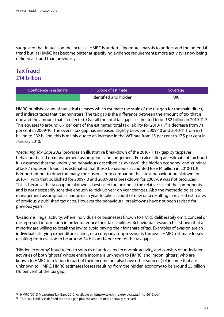suggested that fraud is on the increase. HMRC is undertaking more analysis to understand the potential trend but, as HMRC has become better at specifying evidence requirements; more activity is now being defined as fraud than previously.

## **Tax fraud** £14 billion

| Confidence in estimate | Scope of estimate     | Coverage |
|------------------------|-----------------------|----------|
|                        | Identified and hidden | UK       |

HMRC publishes annual statistical releases which estimate the scale of the tax gap for the main direct, and indirect taxes that it administers. The tax gap is the difference between the amount of tax that is due and the amount that is collected. Overall the total tax gap is estimated to be £32 billion in 2010-11.75 This equates to around 6.7 per cent of the estimated total tax liability for 2010-11,76 a decrease from 7.1 per cent in 2009-10. The overall tax gap has increased slightly between 2009-10 and 2010-11 from £31 billion to £32 billion; this is mainly due to an increase in the VAT rate from 15 per cent to 17.5 per cent in January 2010.

*'Measuring Tax Gaps 2012'* provides an illustrative breakdown of the 2010-11 tax gap by taxpayer behaviour based on management assumptions and judgement. For calculating an estimate of tax fraud it is assumed that the underlying behaviours described as 'evasion', 'the hidden economy' and 'criminal attacks' represent fraud. It is estimated that these behaviours accounted for £14 billion in 2010-11. It is important not to draw too many conclusions from comparing the latest behaviour breakdown for 2010-11 with that published for 2009-10 and 2007-08 (a breakdown for 2008-09 was not produced). This is because the tax gap breakdown is best used for looking at the relative size of the components and is not necessarily sensitive enough to pick up year on year changes. Also the methodologies and management assumptions change each year to take account of new data resulting in revised estimates of previously published tax gaps. However the behavioural breakdowns have not been revised for previous years.

'Evasion' is illegal activity, where individuals or businesses known to HMRC deliberately omit, conceal or misrepresent information in order to reduce their tax liabilities. Behavioural research has shown that a minority are willing to break the law to avoid paying their fair share of tax. Examples of evasion are an individual falsifying expenditure claims, or a company suppressing its turnover. HMRC estimate losses resulting from evasion to be around £4 billion (14 per cent of the tax gap).

'Hidden economy' fraud refers to sources of undeclared economic activity, and consists of undeclared activities of both 'ghosts' whose entire income is unknown to HMRC, and 'moonlighters', who are known to HMRC in relation to part of their income but also have other source(s) of income that are unknown to HMRC. HMRC estimates losses resulting from the hidden economy to be around £5 billion (16 per cent of the tax gap).

<sup>75</sup> HMRC (2012) Measuring Tax Gaps 2012. Available at: **<http://www.hmrc.gov.uk/stats/mtg-2012.pdf>**

 $76$  Total tax liability is defined as the tax gap plus the amount of tax actually received.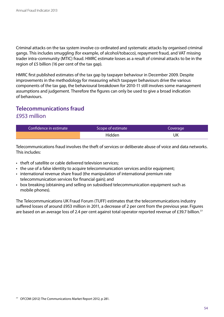Criminal attacks on the tax system involve co-ordinated and systematic attacks by organised criminal gangs. This includes smuggling (for example, of alcohol/tobacco), repayment fraud, and VAT missing trader intra-community (MTIC) fraud. HMRC estimate losses as a result of criminal attacks to be in the region of £5 billion (16 per cent of the tax gap).

HMRC first published estimates of the tax gap by taxpayer behaviour in December 2009. Despite improvements in the methodology for measuring which taxpayer behaviours drive the various components of the tax gap, the behavioural breakdown for 2010-11 still involves some management assumptions and judgement. Therefore the figures can only be used to give a broad indication of behaviours.

## **Telecommunications fraud** £953 million

| Confidence in estimate | Scope of estimate | Coverage |
|------------------------|-------------------|----------|
|                        | Hidden            | UK       |

Telecommunications fraud involves the theft of services or deliberate abuse of voice and data networks. This includes:

- theft of satellite or cable delivered television services:
- the use of a false identity to acquire telecommunication services and/or equipment;
- international revenue share fraud (the manipulation of international premium rate telecommunication services for financial gain); and
- box breaking (obtaining and selling on subsidised telecommunication equipment such as mobile phones).

The Telecommunications UK Fraud Forum (TUFF) estimates that the telecommunications industry suffered losses of around £953 million in 2011, a decrease of 2 per cent from the previous year. Figures are based on an average loss of 2.4 per cent against total operator reported revenue of £39.7 billion.<sup>77</sup>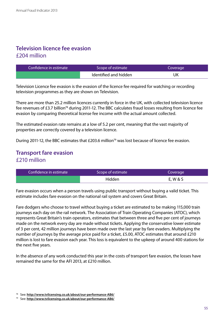## **Television licence fee evasion** £204 million

| Confidence in estimate | Scope of estimate     |    |
|------------------------|-----------------------|----|
|                        | Identified and hidden | UΚ |

Television Licence fee evasion is the evasion of the licence fee required for watching or recording television programmes as they are shown on Television.

There are more than 25.2 million licences currently in force in the UK, with collected television licence fee revenues of £3.7 billion<sup>78</sup> during 2011-12. The BBC calculates fraud losses resulting from licence fee evasion by comparing theoretical license fee income with the actual amount collected.

The estimated evasion rate remains at a low of 5.2 per cent, meaning that the vast majority of properties are correctly covered by a television licence.

During 2011-12, the BBC estimates that £203.6 million<sup>79</sup> was lost because of licence fee evasion.

## **Transport fare evasion** £210 million

| Confidence in estimate | Scope of estimate | Coverage |
|------------------------|-------------------|----------|
|                        | Hidden            | E, W & S |

Fare evasion occurs when a person travels using public transport without buying a valid ticket. This estimate includes fare evasion on the national rail system and covers Great Britain.

Fare dodgers who choose to travel without buying a ticket are estimated to be making 115,000 train journeys each day on the rail network. The Association of Train Operating Companies (ATOC), which represents Great Britain's train operators, estimates that between three and five per cent of journeys made on the network every day are made without tickets. Applying the conservative lower estimate of 3 per cent, 42 million journeys have been made over the last year by fare evaders. Multiplying the number of journeys by the average price paid for a ticket, £5.00, ATOC estimates that around £210 million is lost to fare evasion each year. This loss is equivalent to the upkeep of around 400 stations for the next five years.

In the absence of any work conducted this year in the costs of transport fare evasion, the losses have remained the same for the AFI 2013, at £210 million.

<sup>78</sup> See: **<http://www.tvlicensing.co.uk/about/our-performance-AB6/>**

<sup>79</sup> See: **<http://www.tvlicensing.co.uk/about/our-performance-AB6/>**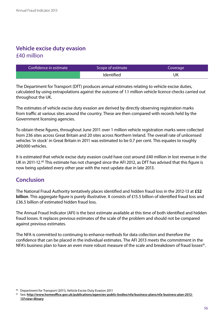## **Vehicle excise duty evasion** £40 million

| Confidence in estimate | Scope of estimate | Coverage |
|------------------------|-------------------|----------|
|                        | <b>Identified</b> | UK       |

The Department for Transport (DfT) produces annual estimates relating to vehicle excise duties, calculated by using extrapolations against the outcome of 1.1 million vehicle licence checks carried out throughout the UK.

The estimates of vehicle excise duty evasion are derived by directly observing registration marks from traffic at various sites around the country. These are then compared with records held by the Government licensing agencies.

To obtain these figures, throughout June 2011 over 1 million vehicle registration marks were collected from 236 sites across Great Britain and 20 sites across Northern Ireland. The overall rate of unlicensed vehicles 'in stock' in Great Britain in 2011 was estimated to be 0.7 per cent. This equates to roughly 249,000 vehicles.

It is estimated that vehicle excise duty evasion could have cost around £40 million in lost revenue in the UK in 2011-12.<sup>80</sup> This estimate has not changed since the AFI 2012, as DfT has advised that this figure is now being updated every other year with the next update due in late 2013.

## **Conclusion**

The National Fraud Authority tentatively places identified and hidden fraud loss in the 2012-13 at **£52 billion**. This aggregate figure is purely illustrative. It consists of £15.5 billion of identified fraud loss and £36.5 billion of estimated hidden fraud loss.

The Annual Fraud Indicator (AFI) is the best estimate available at this time of both identified and hidden fraud losses. It replaces previous estimates of the scale of the problem and should not be compared against previous estimates.

The NFA is committed to continuing to enhance methods for data collection and therefore the confidence that can be placed in the individual estimates. The AFI 2013 meets the commitment in the NFA's business plan to have an even more robust measure of the scale and breakdown of fraud losses<sup>81</sup>.

<sup>80</sup> Department for Transport (2011), Vehicle Excise Duty Evasion 2011

<sup>81</sup> See: **[http://www.homeoffice.gov.uk/publications/agencies-public-bodies/nfa/business-plans/nfa-business-plan-2012-](http://www.homeoffice.gov.uk/publications/agencies-public-bodies/nfa/business-plans/nfa-business-plan-2012-13?view=Binary) [13?view=Binary](http://www.homeoffice.gov.uk/publications/agencies-public-bodies/nfa/business-plans/nfa-business-plan-2012-13?view=Binary)**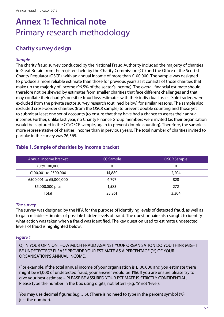## <span id="page-57-0"></span>**Annex 1: Technical note** Primary research methodology

## **Charity survey design**

#### *Sample*

The charity fraud survey conducted by the National Fraud Authority included the majority of charities in Great Britain from the registers held by the Charity Commission (CC) and the Office of the Scottish Charity Regulator (OSCR), with an annual income of more than £100,000. The sample was designed to produce a more reliable estimate than those for previous years as it consists of those charities that make up the majority of income (96.5% of the sector's income). The overall financial estimate should, therefore not be skewed by estimates from smaller charities that face different challenges and that may conflate their charity's possible fraud loss estimates with their individual losses. Sole traders were excluded from the private sector survey research (outlined below) for similar reasons. The sample also excluded cross-border charities (from the OSCR sample) to prevent double counting and those yet to submit at least one set of accounts (to ensure that they have had a chance to assess their annual income). Further, unlike last year, no Charity Finance Group members were invited (as their organisation would be captured in the CC/OSCR sample, again to prevent double counting). Therefore, the sample is more representative of charities' income than in previous years. The total number of charities invited to partake in the survey was 26,565.

| Annual income bracket  | <b>CC Sample</b><br><b>OSCR Sample</b> |       |
|------------------------|----------------------------------------|-------|
| £0 to 100,000          |                                        | 0     |
| £100,001 to £500,000   | 14,880                                 | 2,204 |
| £500,001 to £5,000,000 | 6.797                                  | 828   |
| £5,000,000 plus        | 1,583                                  | 272   |
| Total                  | 23,261                                 | 3,304 |

#### **Table 1. Sample of charities by income bracket**

#### *The survey*

The survey was designed by the NFA for the purpose of identifying levels of detected fraud, as well as to gain reliable estimates of possible hidden levels of fraud. The questionnaire also sought to identify what action was taken when a fraud was identified. The key question used to estimate undetected levels of fraud is highlighted below:

#### *Figure 1*

Q) IN YOUR OPINION, HOW MUCH FRAUD AGAINST YOUR ORGANISATION DO YOU THINK MIGHT BE UNDETECTED? PLEASE PROVIDE YOUR ESTIMATE AS A PERCENTAGE (%) OF YOUR ORGANISATION'S ANNUAL INCOME.

(For example, if the total annual income of your organisation is £100,000 and you estimate there might be £1,000 of undetected fraud, your answer would be 1%). If you are unsure please try to give your best estimate – PLEASE BE ASSURED YOUR ESTIMATE IS STRICTLY CONFIDENTIAL. Please type the number in the box using digits, not letters (e.g. '5' not 'Five').

You may use decimal figures (e.g. 5.5). (There is no need to type in the percent symbol (%), just the number).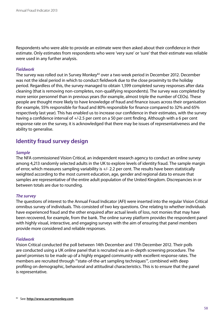Respondents who were able to provide an estimate were then asked about their confidence in their estimate. Only estimates from respondents who were 'very sure' or 'sure' that their estimate was reliable were used in any further analysis.

#### *Fieldwork*

The survey was rolled out in Survey Monkey<sup>82</sup> over a two week period in December 2012. December was not the ideal period in which to conduct fieldwork due to the close proximity to the holiday period. Regardless of this, the survey managed to obtain 1,599 completed survey responses after data cleaning (that is removing non-completes, non-qualifying respondents). The survey was completed by more senior personnel than in previous years (for example, almost triple the number of CEOs). These people are thought more likely to have knowledge of fraud and finance issues across their organisation (for example, 55% responsible for fraud and 80% responsible for finance compared to 32% and 65% respectively last year). This has enabled us to increase our confidence in their estimates, with the survey having a confidence interval of  $+/-2.5$  per cent on a 50 per cent finding. Although with a 6 per cent response rate on the survey, it is acknowledged that there may be issues of representativeness and the ability to generalise.

### **Identity fraud survey design**

#### *Sample*

The NFA commissioned Vision Critical, an independent research agency to conduct an online survey among 4,213 randomly selected adults in the UK to explore levels of identity fraud. The sample margin of error, which measures sampling variability is +/- 2.2 per cent. The results have been statistically weighted according to the most current education, age, gender and regional data to ensure that samples are representative of the entire adult population of the United Kingdom. Discrepancies in or between totals are due to rounding.

#### *The survey*

The questions of interest to the Annual Fraud Indicator (AFI) were inserted into the regular Vision Critical omnibus survey of individuals. This consisted of two key questions. One relating to whether individuals have experienced fraud and the other enquired after actual levels of loss, not monies that may have been recovered, for example, from the bank. The online survey platform provides the respondent panel with highly visual, interactive, and engaging surveys with the aim of ensuring that panel members provide more considered and reliable responses.

#### *Fieldwork*

Vision Critical conducted the poll between 14th December and 17th December 2012. Their polls are conducted using a UK online panel that is recruited via an in-depth screening procedure. The panel promises to be made up of a highly engaged community with excellent response rates. The members are recruited through "'state-of-the-art sampling techniques'", combined with deep profiling on demographic, behavioral and attitudinal characteristics. This is to ensure that the panel is representative.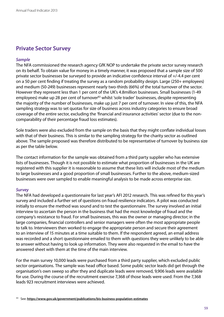### **Private Sector Survey**

#### *Sample*

The NFA commissioned the research agency GfK NOP to undertake the private sector survey research on its behalf. To obtain value for money in a timely manner, it was proposed that a sample size of 500 private sector businesses be surveyed to provide an indicative confidence interval of +/-4.4 per cent on a 50 per cent finding if treating the survey as a random probability design. Large (250+ employees) and medium (50-249) businesses represent nearly two-thirds (66%) of the total turnover of the sector. However they represent less than 1 per cent of the UK's 4.8million businesses. Small businesses (1-49 employees) make up 28 per cent of turnover<sup>83</sup> whilst 'sole trader' businesses, despite representing the majority of the number of businesses, make up just 7 per cent of turnover. In view of this, the NFA sampling strategy was to set quotas for size of business across industry categories to ensure broad coverage of the entire sector, excluding the 'financial and insurance activities' sector (due to the noncomparability of their percentage fraud loss estimates).

Sole traders were also excluded from the sample on the basis that they might conflate individual losses with that of their business. This is similar to the sampling strategy for the charity sector as outlined above. The sample proposed was therefore distributed to be representative of turnover by business size as per the table below.

The contact information for the sample was obtained from a third party supplier who has extensive lists of businesses. Though it is not possible to estimate what proportion of businesses in the UK are registered with this supplier it is reasonable to assume that these lists will include most of the medium to large businesses and a good proportion of small businesses. Further to the above, medium-sized businesses were over sampled to enable meaningful analysis to be made across enterprise size.

#### *Survey*

The NFA had developed a questionnaire for last year's AFI 2012 research. This was refined for this year's survey and included a further set of questions on fraud resilience indicators. A pilot was conducted initially to ensure the method was sound and to test the questionnaire. The survey involved an initial interview to ascertain the person in the business that had the most knowledge of fraud and the company's resistance to fraud. For small businesses, this was the owner or managing director; in the large companies, financial controllers and senior managers were often the most appropriate people to talk to. Interviewers then worked to engage the appropriate person and secure their agreement to an interview of 15 minutes at a time suitable to them. If the respondent agreed, an email address was recorded and a short questionnaire emailed to them with questions they were unlikely to be able to answer without having to look up information. They were also requested in the email to have the answered sheet with them at the time of the main interview.

For the main survey 10,000 leads were purchased from a third party supplier, which excluded public sector organisations. The sample was head office based. Some public sector leads did get through the organisation's own sweep so after they and duplicate leads were removed, 9,906 leads were available for use. During the course of the recruitment exercise 7,368 of those leads were used. From the 7,368 leads 923 recruitment interviews were achieved.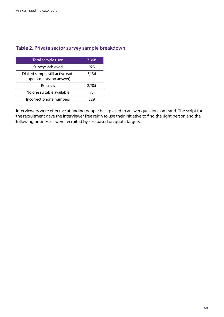#### **Table 2. Private sector survey sample breakdown**

| Total sample used                                             | 7,368 |
|---------------------------------------------------------------|-------|
| Surveys achieved                                              | 923   |
| Dialled sample still active (soft<br>appointments, no answer) | 3,136 |
| Refusals                                                      | 2,705 |
| No one suitable available                                     | 75    |
| Incorrect phone numbers                                       |       |

Interviewers were effective at finding people best placed to answer questions on fraud. The script for the recruitment gave the interviewer free reign to use their initiative to find the right person and the following businesses were recruited by size based on quota targets.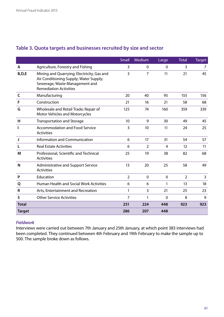|               |                                                                                                                                                         | Small          | Medium         | Large       | <b>Total</b>   | <b>Target</b> |
|---------------|---------------------------------------------------------------------------------------------------------------------------------------------------------|----------------|----------------|-------------|----------------|---------------|
| A             | Agriculture, Forestry and Fishing                                                                                                                       | 3              | $\Omega$       | $\Omega$    | 3              | 7             |
| B,D,E         | Mining and Quarrying; Electricity, Gas and<br>Air Conditioning Supply; Water Supply;<br>Sewerage, Waste Management and<br><b>Remediation Activities</b> | 3              | $\overline{7}$ | 11          | 21             | 45            |
| C             | Manufacturing                                                                                                                                           | 20             | 40             | 95          | 155            | 156           |
| F             | Construction                                                                                                                                            | 21             | 16             | 21          | 58             | 68            |
| G             | Wholesale and Retail Trade; Repair of<br><b>Motor Vehicles and Motorcycles</b>                                                                          | 125            | 74             | 160         | 359            | 339           |
| Н             | <b>Transportation and Storage</b>                                                                                                                       | 10             | 9              | 30          | 49             | 45            |
| L             | <b>Accommodation and Food Service</b><br><b>Activities</b>                                                                                              | 3              | 10             | 11          | 24             | 25            |
| J             | Information and Communication                                                                                                                           | 6              | 17             | 31          | 54             | 57            |
| L             | <b>Real Estate Activities</b>                                                                                                                           | 6              | $\overline{2}$ | 4           | 12             | 11            |
| M             | Professional, Scientific and Technical<br><b>Activities</b>                                                                                             | 25             | 19             | 38          | 82             | 68            |
| N             | Administrative and Support Service<br><b>Activities</b>                                                                                                 | 13             | 20             | 25          | 58             | 49            |
| P             | Education                                                                                                                                               | $\overline{2}$ | $\mathbf 0$    | $\mathbf 0$ | $\overline{2}$ | 3             |
| Q             | Human Health and Social Work Activities                                                                                                                 | 6              | 6              | 1           | 13             | 18            |
| R             | Arts, Entertainment and Recreation                                                                                                                      | 1              | 3              | 21          | 25             | 23            |
| S             | <b>Other Service Activities</b>                                                                                                                         | $\overline{7}$ | 1              | $\mathbf 0$ | 8              | 9             |
| <b>Total</b>  |                                                                                                                                                         | 251            | 224            | 448         | 923            | 923           |
| <b>Target</b> |                                                                                                                                                         | 286            | 207            | 448         |                |               |

## **Table 3. Quota targets and businesses recruited by size and sector**

#### *Fieldwork*

Interviews were carried out between 7th January and 25th January, at which point 383 interviews had been completed. They continued between 4th February and 19th February to make the sample up to 500. The sample broke down as follows.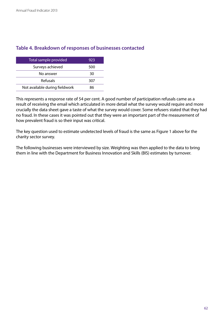#### **Table 4. Breakdown of responses of businesses contacted**

| Total sample provided          | 923 |
|--------------------------------|-----|
| Surveys achieved               | 500 |
| No answer                      | 30  |
| Refusals                       | 307 |
| Not available during fieldwork | ጸհ  |

This represents a response rate of 54 per cent. A good number of participation refusals came as a result of receiving the email which articulated in more detail what the survey would require and more crucially the data sheet gave a taste of what the survey would cover. Some refusers stated that they had no fraud. In these cases it was pointed out that they were an important part of the measurement of how prevalent fraud is so their input was critical.

The key question used to estimate undetected levels of fraud is the same as Figure 1 above for the charity sector survey.

The following businesses were interviewed by size. Weighting was then applied to the data to bring them in line with the Department for Business Innovation and Skills (BIS) estimates by turnover.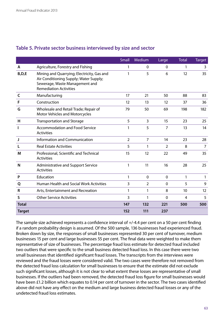|               |                                                                                                                                                         | Small          | Medium         | Large          | <b>Total</b> | <b>Target</b>  |
|---------------|---------------------------------------------------------------------------------------------------------------------------------------------------------|----------------|----------------|----------------|--------------|----------------|
| A             | Agriculture, Forestry and Fishing                                                                                                                       | 1              | $\mathbf{0}$   | $\mathbf 0$    | 1            | 3              |
| B, D, E       | Mining and Quarrying; Electricity, Gas and<br>Air Conditioning Supply; Water Supply;<br>Sewerage, Waste Management and<br><b>Remediation Activities</b> | 1              | 5              | 6              | 12           | 35             |
| C             | Manufacturing                                                                                                                                           | 17             | 21             | 50             | 88           | 83             |
| F             | Construction                                                                                                                                            | 12             | 13             | 12             | 37           | 36             |
| G             | Wholesale and Retail Trade; Repair of<br>Motor Vehicles and Motorcycles                                                                                 | 79             | 50             | 69             | 198          | 182            |
| н             | <b>Transportation and Storage</b>                                                                                                                       | 5              | $\overline{3}$ | 15             | 23           | 25             |
| ı             | <b>Accommodation and Food Service</b><br><b>Activities</b>                                                                                              | 1              | 5              | $\overline{7}$ | 13           | 14             |
| J             | Information and Communication                                                                                                                           | $\overline{2}$ | $\overline{7}$ | 14             | 23           | 28             |
| L             | <b>Real Estate Activities</b>                                                                                                                           | 5              | 1              | $\overline{2}$ | 8            | $\overline{7}$ |
| M             | Professional, Scientific and Technical<br><b>Activities</b>                                                                                             | 15             | 12             | 22             | 49           | 35             |
| N             | <b>Administrative and Support Service</b><br><b>Activities</b>                                                                                          | 1              | 11             | 16             | 28           | 25             |
| P             | Education                                                                                                                                               | 1              | $\mathbf 0$    | $\mathbf 0$    | 1            | 1              |
| Q             | <b>Human Health and Social Work Activities</b>                                                                                                          | 3              | $\overline{2}$ | $\mathbf 0$    | 5            | 9              |
| R             | Arts, Entertainment and Recreation                                                                                                                      | 1              | 1              | 8              | 10           | 12             |
| S             | <b>Other Service Activities</b>                                                                                                                         | 3              | 1              | $\mathbf 0$    | 4            | 5              |
| <b>Total</b>  |                                                                                                                                                         | 147            | 132            | 221            | 500          | 500            |
| <b>Target</b> |                                                                                                                                                         | 152            | 111            | 237            |              |                |

#### **Table 5. Private sector business interviewed by size and sector**

The sample size achieved represents a confidence interval of +/-4.4 per cent on a 50 per cent finding if a random probability design is assumed. Of the 500 sample, 136 businesses had experienced fraud. Broken down by size, the responses of small businesses represented 30 per cent of turnover, medium businesses 15 per cent and large businesses 55 per cent. The final data were weighted to make them representative of size of businesses. The percentage fraud loss estimate for detected fraud included two outliers that were specific to the small business detected fraud loss. In this case there were two small businesses that identified significant fraud losses. The transcripts from the interviews were reviewed and the fraud losses were considered valid. The two cases were therefore not removed from the detected fraud loss calculation for small businesses to ensure that the estimate did not exclude such significant losses, although it is not clear to what extent these losses are representative of small businesses. If the outliers had been removed, the detected fraud loss figure for small businesses would have been £1.2 billion which equates to 0.14 per cent of turnover in the sector. The two cases identified above did not have any effect on the medium and large business detected fraud losses or any of the undetected fraud loss estimates.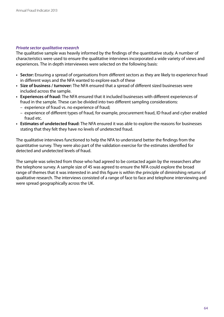#### *Private sector qualitative research*

The qualitative sample was heavily informed by the findings of the quantitative study. A number of characteristics were used to ensure the qualitative interviews incorporated a wide variety of views and experiences. The in depth interviewees were selected on the following basis:

- **• Sector:** Ensuring a spread of organisations from different sectors as they are likely to experience fraud in different ways and the NFA wanted to explore each of these
- **• Size of business / turnover:** The NFA ensured that a spread of different sized businesses were included across the sample.
- **• Experiences of fraud:** The NFA ensured that it included businesses with different experiences of fraud in the sample. These can be divided into two different sampling considerations:
	- experience of fraud vs. no experience of fraud;
	- experience of different types of fraud, for example, procurement fraud, ID fraud and cyber enabled fraud etc.
- **• Estimates of undetected fraud:** The NFA ensured it was able to explore the reasons for businesses stating that they felt they have no levels of undetected fraud.

The qualitative interviews functioned to help the NFA to understand better the findings from the quantitative survey. They were also part of the validation exercise for the estimates identified for detected and undetected levels of fraud.

The sample was selected from those who had agreed to be contacted again by the researchers after the telephone survey. A sample size of 45 was agreed to ensure the NFA could explore the broad range of themes that it was interested in and this figure is within the principle of diminishing returns of qualitative research. The interviews consisted of a range of face to face and telephone interviewing and were spread geographically across the UK.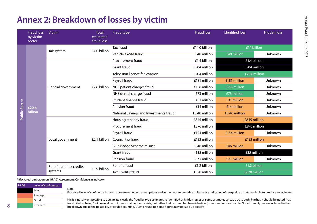## **Annex 2: Breakdown of losses by victim**

|  | <b>Fraud loss</b><br>by victim<br>sector | <b>Victim</b>                      | <b>Total</b><br>estimated<br>fraud loss | Fraud type                             | <b>Fraud loss</b> | <b>Identified loss</b> | <b>Hidden loss</b> |
|--|------------------------------------------|------------------------------------|-----------------------------------------|----------------------------------------|-------------------|------------------------|--------------------|
|  | <b>Public Sector</b><br>£20.6<br>billion | Tax system                         | £14.0 billion                           | <b>Tax fraud</b>                       | £14.0 billion     | £14 billion            |                    |
|  |                                          |                                    |                                         | Vehicle excise fraud                   | £40 million       | £40 million            | Unknown            |
|  |                                          | Central government                 | £2.6 billion                            | Procurement fraud                      | £1.4 billion      | £1.4 billion           |                    |
|  |                                          |                                    |                                         | Grant fraud                            | £504 million      | £504 million           |                    |
|  |                                          |                                    |                                         | Television licence fee evasion         | £204 million      | £204 million           |                    |
|  |                                          |                                    |                                         | Payroll fraud                          | £181 million      | £181 million           | Unknown            |
|  |                                          |                                    |                                         | NHS patient charges fraud              | £156 million      | £156 million           | Unknown            |
|  |                                          |                                    |                                         | NHS dental charge fraud                | £73 million       | £73 million            | Unknown            |
|  |                                          |                                    |                                         | Student finance fraud                  | £31 million       | £31 million            | Unknown            |
|  |                                          |                                    |                                         | Pension fraud                          | £14 million       | £14 million            | Unknown            |
|  |                                          |                                    |                                         | National Savings and Investments fraud | £0.40 million     | £0.40 million          | Unknown            |
|  |                                          | Local government                   | £2.1 billion                            | Housing tenancy fraud                  | £845 million      | £845 million           |                    |
|  |                                          |                                    |                                         | Procurement fraud                      | £876 million      | £876 million           |                    |
|  |                                          |                                    |                                         | Payroll fraud                          | £154 million      | £154 million           | Unknown            |
|  |                                          |                                    |                                         | Council tax fraud                      | £133 million      | £133 million           |                    |
|  |                                          |                                    |                                         | Blue Badge Scheme misuse               | £46 million       | £46 million            | Unknown            |
|  |                                          |                                    |                                         | <b>Grant fraud</b>                     | £35 million       | £35 million            |                    |
|  |                                          |                                    |                                         | Pension fraud                          | £7.1 million      | £7.1 million           | Unknown            |
|  |                                          | Benefit and tax credits<br>systems |                                         | <b>Benefit fraud</b>                   | £1.2 billion      | £1.2 billion           |                    |
|  |                                          |                                    | £1.9 billion                            | <b>Tax Credits fraud</b>               | £670 million      | £670 million           |                    |

<span id="page-65-0"></span>\*Black, red, amber, green (BRAG) Assessment: Confidence in Indicator

Note:

| <b>BRAG</b> | Level of confidence |
|-------------|---------------------|
|             | Poor                |
|             | Average             |
|             | Good                |
|             | Excellent           |

Perceived level of confidence is based upon management assumptions and judgement to provide an illustrative indication of the quality of data available to produce an estimate.

NB: It is not always possible to demarcate clearly the fraud by type estimates to identified or hidden losses as some estimates spread across both. Further, it should be noted that fraud cited as being 'unknown' does not mean that no fraud exists, but rather that no fraud has been identified, measured or is estimable. Not all fraud types are included in the breakdown due to the possibility of double counting. Due to rounding some figures may not add up exactly.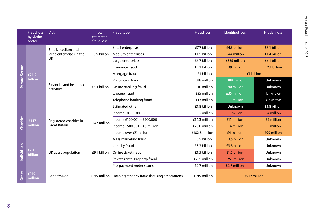|                       | <b>Fraud loss</b><br>by victim<br>sector | <b>Victim</b>                                              | <b>Total</b><br>estimated<br>fraud loss | Fraud type                                                | <b>Fraud loss</b> | <b>Identified loss</b> | <b>Hidden loss</b> |
|-----------------------|------------------------------------------|------------------------------------------------------------|-----------------------------------------|-----------------------------------------------------------|-------------------|------------------------|--------------------|
| <b>Private Sector</b> | £21.2<br>billion                         | Small, medium and<br>large enterprises in the<br><b>UK</b> | £15.9 billion                           | Small enterprises                                         | £7.7 billion      | £4.6 billion           | £3.1 billion       |
|                       |                                          |                                                            |                                         | Medium enterprises                                        | £1.5 billion      | £44 million            | £1.4 billion       |
|                       |                                          |                                                            |                                         | Large enterprises                                         | £6.7 billion      | £555 million           | £6.1 billion       |
|                       |                                          | Financial and insurance<br>activities                      | £5.4 billion                            | Insurance fraud                                           | £2.1 billion      | £39 million            | £2.1 billion       |
|                       |                                          |                                                            |                                         | Mortgage fraud                                            | £1 billion        | £1 billion             |                    |
|                       |                                          |                                                            |                                         | Plastic card fraud                                        | £388 million      | £388 million           | Unknown            |
|                       |                                          |                                                            |                                         | Online banking fraud                                      | £40 million       | £40 million            | Unknown            |
|                       |                                          |                                                            |                                         | Cheque fraud                                              | £35 million       | £35 million            | Unknown            |
|                       |                                          |                                                            |                                         | Telephone banking fraud                                   | £13 million       | £13 million            | Unknown            |
|                       |                                          |                                                            |                                         | <b>Estimated other</b>                                    | £1.8 billion      | Unknown                | £1.8 billion       |
| Charities             | £147<br>million                          | Registered charities in<br><b>Great Britain</b>            | £147 million                            | Income £0 - £100,000                                      | £5.2 million      | £1 million             | £4 million         |
|                       |                                          |                                                            |                                         | Income £100,001 - £500,000                                | £16.3 million     | £11 million            | £5 million         |
|                       |                                          |                                                            |                                         | Income £500,001 - £5 million                              | £23.0 million     | £14 million            | £9 million         |
|                       |                                          |                                                            |                                         | Income over £5 million                                    | £102.8 million    | £4 million             | £99 million        |
| Individuals           | £9.1<br><b>billion</b>                   | UK adult population                                        | £9.1 billion                            | Mass marketing fraud                                      | £3.5 billion      | £3.5 billion           | Unknown            |
|                       |                                          |                                                            |                                         | Identity fraud                                            | £3.3 billion      | £3.3 billion           | Unknown            |
|                       |                                          |                                                            |                                         | Online ticket fraud                                       | £1.5 billion      | £1.5 billion           | Unknown            |
|                       |                                          |                                                            |                                         | Private rental Property fraud                             | £755 million      | £755 million           | Unknown            |
|                       |                                          |                                                            |                                         | Pre-payment meter scams                                   | £2.7 million      | £2.7 million           | Unknown            |
| Other                 | £919<br>million                          | Other/mixed                                                |                                         | £919 million Housing tenancy fraud (housing associations) | £919 million      | £919 million           |                    |